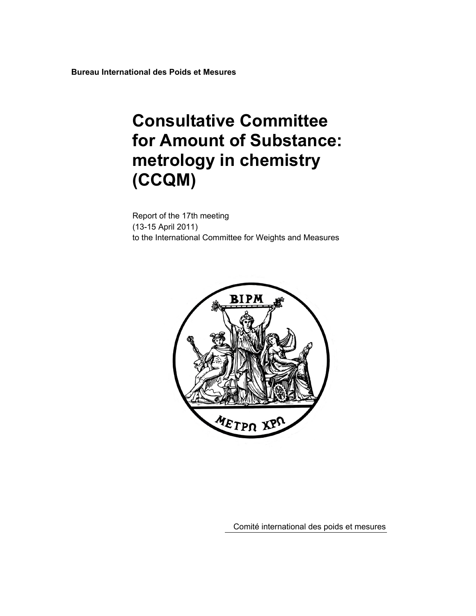**Bureau International des Poids et Mesures** 

# **Consultative Committee for Amount of Substance: metrology in chemistry (CCQM)**

Report of the 17th meeting (13-15 April 2011) to the International Committee for Weights and Measures



Comité international des poids et mesures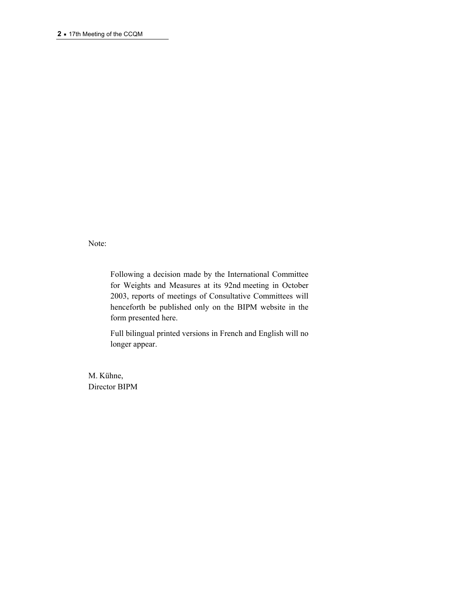Note:

Following a decision made by the International Committee for Weights and Measures at its 92nd meeting in October 2003, reports of meetings of Consultative Committees will henceforth be published only on the BIPM website in the form presented here.

Full bilingual printed versions in French and English will no longer appear.

M. Kühne, Director BIPM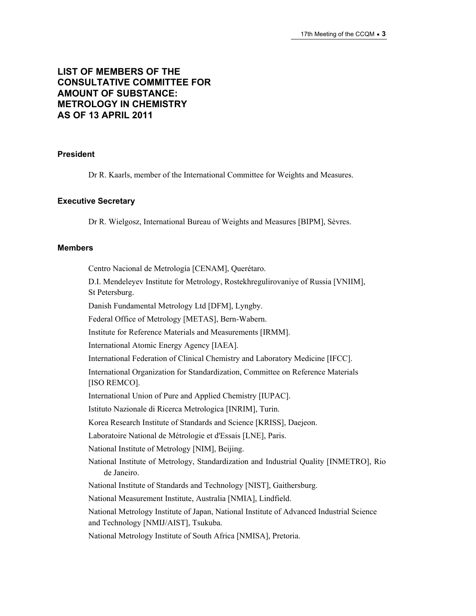### **LIST OF MEMBERS OF THE CONSULTATIVE COMMITTEE FOR AMOUNT OF SUBSTANCE: METROLOGY IN CHEMISTRY AS OF 13 APRIL 2011**

### **President**

Dr R. Kaarls, member of the International Committee for Weights and Measures.

### **Executive Secretary**

Dr R. Wielgosz, International Bureau of Weights and Measures [BIPM], Sèvres.

#### **Members**

Centro Nacional de Metrología [CENAM], Querétaro.

D.I. Mendeleyev Institute for Metrology, Rostekhregulirovaniye of Russia [VNIIM], St Petersburg.

Danish Fundamental Metrology Ltd [DFM], Lyngby.

Federal Office of Metrology [METAS], Bern-Wabern.

Institute for Reference Materials and Measurements [IRMM].

International Atomic Energy Agency [IAEA].

International Federation of Clinical Chemistry and Laboratory Medicine [IFCC].

International Organization for Standardization, Committee on Reference Materials [ISO REMCO].

International Union of Pure and Applied Chemistry [IUPAC].

Istituto Nazionale di Ricerca Metrologica [INRIM], Turin.

Korea Research Institute of Standards and Science [KRISS], Daejeon.

Laboratoire National de Métrologie et d'Essais [LNE], Paris.

National Institute of Metrology [NIM], Beijing.

National Institute of Metrology, Standardization and Industrial Quality [INMETRO], Rio de Janeiro.

National Institute of Standards and Technology [NIST], Gaithersburg.

National Measurement Institute, Australia [NMIA], Lindfield.

National Metrology Institute of Japan, National Institute of Advanced Industrial Science and Technology [NMIJ/AIST], Tsukuba.

National Metrology Institute of South Africa [NMISA], Pretoria.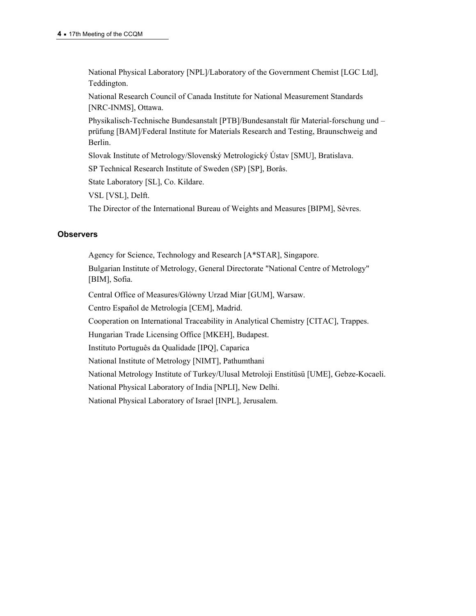National Physical Laboratory [NPL]/Laboratory of the Government Chemist [LGC Ltd], Teddington.

National Research Council of Canada Institute for National Measurement Standards [NRC-INMS], Ottawa.

Physikalisch-Technische Bundesanstalt [PTB]/Bundesanstalt für Material-forschung und – prüfung [BAM]/Federal Institute for Materials Research and Testing, Braunschweig and Berlin.

Slovak Institute of Metrology/Slovenský Metrologický Ústav [SMU], Bratislava.

SP Technical Research Institute of Sweden (SP) [SP], Borås.

State Laboratory [SL], Co. Kildare.

VSL [VSL], Delft.

The Director of the International Bureau of Weights and Measures [BIPM], Sèvres.

#### **Observers**

Agency for Science, Technology and Research [A\*STAR], Singapore.

Bulgarian Institute of Metrology, General Directorate "National Centre of Metrology" [BIM], Sofia.

Central Office of Measures/Glόwny Urzad Miar [GUM], Warsaw.

Centro Español de Metrología [CEM], Madrid.

Cooperation on International Traceability in Analytical Chemistry [CITAC], Trappes.

Hungarian Trade Licensing Office [MKEH], Budapest.

Instituto Português da Qualidade [IPQ], Caparica

National Institute of Metrology [NIMT], Pathumthani

National Metrology Institute of Turkey/Ulusal Metroloji Enstitüsü [UME], Gebze-Kocaeli.

National Physical Laboratory of India [NPLI], New Delhi.

National Physical Laboratory of Israel [INPL], Jerusalem.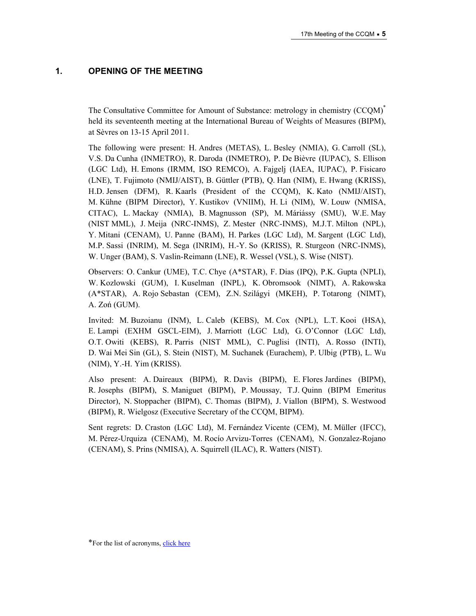### **1. OPENING OF THE MEETING**

The Consultative Committee for Amount of Substance: metrology in chemistry (CCQM)\* held its seventeenth meeting at the International Bureau of Weights of Measures (BIPM), at Sèvres on 13-15 April 2011.

The following were present: H. Andres (METAS), L. Besley (NMIA), G. Carroll (SL), V.S. Da Cunha (INMETRO), R. Daroda (INMETRO), P. De Bièvre (IUPAC), S. Ellison (LGC Ltd), H. Emons (IRMM, ISO REMCO), A. Fajgelj (IAEA, IUPAC), P. Fisicaro (LNE), T. Fujimoto (NMIJ/AIST), B. Güttler (PTB), Q. Han (NIM), E. Hwang (KRISS), H.D. Jensen (DFM), R. Kaarls (President of the CCQM), K. Kato (NMIJ/AIST), M. Kühne (BIPM Director), Y. Kustikov (VNIIM), H. Li (NIM), W. Louw (NMISA, CITAC), L. Mackay (NMIA), B. Magnusson (SP), M. Máriássy (SMU), W.E. May (NIST MML), J. Meija (NRC-INMS), Z. Mester (NRC-INMS), M.J.T. Milton (NPL), Y. Mitani (CENAM), U. Panne (BAM), H. Parkes (LGC Ltd), M. Sargent (LGC Ltd), M.P. Sassi (INRIM), M. Sega (INRIM), H.-Y. So (KRISS), R. Sturgeon (NRC-INMS), W. Unger (BAM), S. Vaslin-Reimann (LNE), R. Wessel (VSL), S. Wise (NIST).

Observers: O. Cankur (UME), T.C. Chye (A\*STAR), F. Dias (IPQ), P.K. Gupta (NPLI), W. Kozlowski (GUM), I. Kuselman (INPL), K. Obromsook (NIMT), A. Rakowska (A\*STAR), A. Rojo Sebastan (CEM), Z.N. Szilágyi (MKEH), P. Totarong (NIMT), A. Zoń (GUM).

Invited: M. Buzoianu (INM), L. Caleb (KEBS), M. Cox (NPL), L.T. Kooi (HSA), E. Lampi (EXHM GSCL-EIM), J. Marriott (LGC Ltd), G. O'Connor (LGC Ltd), O.T. Owiti (KEBS), R. Parris (NIST MML), C. Puglisi (INTI), A. Rosso (INTI), D. Wai Mei Sin (GL), S. Stein (NIST), M. Suchanek (Eurachem), P. Ulbig (PTB), L. Wu (NIM), Y.-H. Yim (KRISS).

Also present: A. Daireaux (BIPM), R. Davis (BIPM), E. Flores Jardines (BIPM), R. Josephs (BIPM), S. Maniguet (BIPM), P. Moussay, T.J. Quinn (BIPM Emeritus Director), N. Stoppacher (BIPM), C. Thomas (BIPM), J. Viallon (BIPM), S. Westwood (BIPM), R. Wielgosz (Executive Secretary of the CCQM, BIPM).

Sent regrets: D. Craston (LGC Ltd), M. Fernández Vicente (CEM), M. Müller (IFCC), M. Pérez-Urquiza (CENAM), M. Rocío Arvizu-Torres (CENAM), N. Gonzalez-Rojano (CENAM), S. Prins (NMISA), A. Squirrell (ILAC), R. Watters (NIST).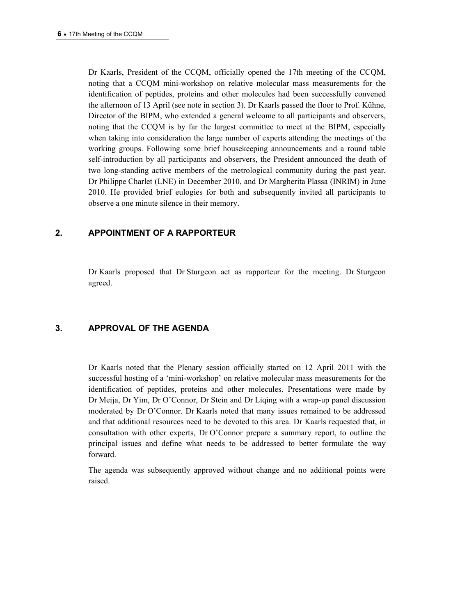Dr Kaarls, President of the CCQM, officially opened the 17th meeting of the CCQM, noting that a CCQM mini-workshop on relative molecular mass measurements for the identification of peptides, proteins and other molecules had been successfully convened the afternoon of 13 April (see note in section 3). Dr Kaarls passed the floor to Prof. Kühne, Director of the BIPM, who extended a general welcome to all participants and observers, noting that the CCQM is by far the largest committee to meet at the BIPM, especially when taking into consideration the large number of experts attending the meetings of the working groups. Following some brief housekeeping announcements and a round table self-introduction by all participants and observers, the President announced the death of two long-standing active members of the metrological community during the past year, Dr Philippe Charlet (LNE) in December 2010, and Dr Margherita Plassa (INRIM) in June 2010. He provided brief eulogies for both and subsequently invited all participants to observe a one minute silence in their memory.

### **2. APPOINTMENT OF A RAPPORTEUR**

Dr Kaarls proposed that Dr Sturgeon act as rapporteur for the meeting. Dr Sturgeon agreed.

### **3. APPROVAL OF THE AGENDA**

Dr Kaarls noted that the Plenary session officially started on 12 April 2011 with the successful hosting of a 'mini-workshop' on relative molecular mass measurements for the identification of peptides, proteins and other molecules. Presentations were made by Dr Meija, Dr Yim, Dr O'Connor, Dr Stein and Dr Liqing with a wrap-up panel discussion moderated by Dr O'Connor. Dr Kaarls noted that many issues remained to be addressed and that additional resources need to be devoted to this area. Dr Kaarls requested that, in consultation with other experts, Dr O'Connor prepare a summary report, to outline the principal issues and define what needs to be addressed to better formulate the way forward.

The agenda was subsequently approved without change and no additional points were raised.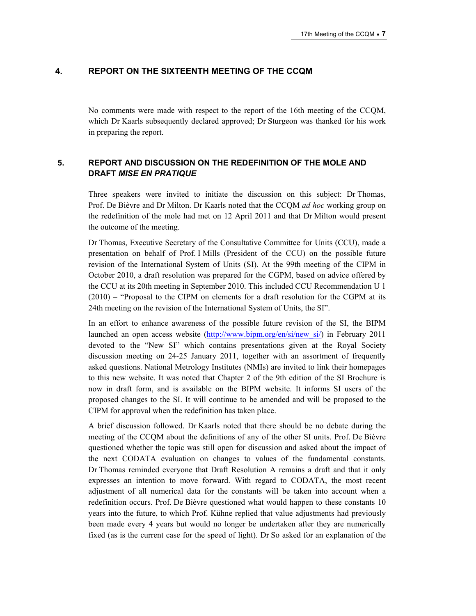### **4. REPORT ON THE SIXTEENTH MEETING OF THE CCQM**

No comments were made with respect to the report of the 16th meeting of the CCQM, which Dr Kaarls subsequently declared approved; Dr Sturgeon was thanked for his work in preparing the report.

### **5. REPORT AND DISCUSSION ON THE REDEFINITION OF THE MOLE AND DRAFT** *MISE EN PRATIQUE*

Three speakers were invited to initiate the discussion on this subject: Dr Thomas, Prof. De Bièvre and Dr Milton. Dr Kaarls noted that the CCQM *ad hoc* working group on the redefinition of the mole had met on 12 April 2011 and that Dr Milton would present the outcome of the meeting.

Dr Thomas, Executive Secretary of the Consultative Committee for Units (CCU), made a presentation on behalf of Prof. I Mills (President of the CCU) on the possible future revision of the International System of Units (SI). At the 99th meeting of the CIPM in October 2010, a draft resolution was prepared for the CGPM, based on advice offered by the CCU at its 20th meeting in September 2010. This included CCU Recommendation U 1 (2010) – "Proposal to the CIPM on elements for a draft resolution for the CGPM at its 24th meeting on the revision of the International System of Units, the SI".

In an effort to enhance awareness of the possible future revision of the SI, the BIPM launched an open access website ([http://www.bipm.org/en/si/new\\_si/\)](https://www.bipm.org/en/si/new_si/) in February 2011 devoted to the "New SI" which contains presentations given at the Royal Society discussion meeting on 24-25 January 2011, together with an assortment of frequently asked questions. National Metrology Institutes (NMIs) are invited to link their homepages to this new website. It was noted that Chapter 2 of the 9th edition of the SI Brochure is now in draft form, and is available on the BIPM website. It informs SI users of the proposed changes to the SI. It will continue to be amended and will be proposed to the CIPM for approval when the redefinition has taken place.

A brief discussion followed. Dr Kaarls noted that there should be no debate during the meeting of the CCQM about the definitions of any of the other SI units. Prof. De Bièvre questioned whether the topic was still open for discussion and asked about the impact of the next CODATA evaluation on changes to values of the fundamental constants. Dr Thomas reminded everyone that Draft Resolution A remains a draft and that it only expresses an intention to move forward. With regard to CODATA, the most recent adjustment of all numerical data for the constants will be taken into account when a redefinition occurs. Prof. De Bièvre questioned what would happen to these constants 10 years into the future, to which Prof. Kühne replied that value adjustments had previously been made every 4 years but would no longer be undertaken after they are numerically fixed (as is the current case for the speed of light). Dr So asked for an explanation of the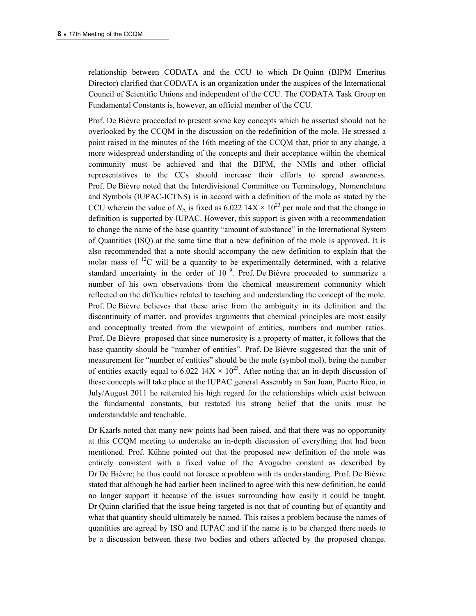relationship between CODATA and the CCU to which Dr Quinn (BIPM Emeritus Director) clarified that CODATA is an organization under the auspices of the International Council of Scientific Unions and independent of the CCU. The CODATA Task Group on Fundamental Constants is, however, an official member of the CCU.

Prof. De Bièvre proceeded to present some key concepts which he asserted should not be overlooked by the CCQM in the discussion on the redefinition of the mole. He stressed a point raised in the minutes of the 16th meeting of the CCQM that, prior to any change, a more widespread understanding of the concepts and their acceptance within the chemical community must be achieved and that the BIPM, the NMIs and other official representatives to the CCs should increase their efforts to spread awareness. Prof. De Bièvre noted that the Interdivisional Committee on Terminology, Nomenclature and Symbols (IUPAC-ICTNS) is in accord with a definition of the mole as stated by the CCU wherein the value of  $N_A$  is fixed as 6.022 14X  $\times$  10<sup>23</sup> per mole and that the change in definition is supported by IUPAC. However, this support is given with a recommendation to change the name of the base quantity "amount of substance" in the International System of Quantities (ISQ) at the same time that a new definition of the mole is approved. It is also recommended that a note should accompany the new definition to explain that the molar mass of  $^{12}$ C will be a quantity to be experimentally determined, with a relative standard uncertainty in the order of  $10^{-9}$ . Prof. De Bièvre proceeded to summarize a number of his own observations from the chemical measurement community which reflected on the difficulties related to teaching and understanding the concept of the mole. Prof. De Bièvre believes that these arise from the ambiguity in its definition and the discontinuity of matter, and provides arguments that chemical principles are most easily and conceptually treated from the viewpoint of entities, numbers and number ratios. Prof. De Bièvre proposed that since numerosity is a property of matter, it follows that the base quantity should be "number of entities". Prof. De Bièvre suggested that the unit of measurement for "number of entities" should be the mole (symbol mol), being the number of entities exactly equal to 6.022 14X  $\times$  10<sup>23</sup>. After noting that an in-depth discussion of these concepts will take place at the IUPAC general Assembly in San Juan, Puerto Rico, in July/August 2011 he reiterated his high regard for the relationships which exist between the fundamental constants, but restated his strong belief that the units must be understandable and teachable.

Dr Kaarls noted that many new points had been raised, and that there was no opportunity at this CCQM meeting to undertake an in-depth discussion of everything that had been mentioned. Prof. Kühne pointed out that the proposed new definition of the mole was entirely consistent with a fixed value of the Avogadro constant as described by Dr De Bièvre; he thus could not foresee a problem with its understanding. Prof. De Bièvre stated that although he had earlier been inclined to agree with this new definition, he could no longer support it because of the issues surrounding how easily it could be taught. Dr Quinn clarified that the issue being targeted is not that of counting but of quantity and what that quantity should ultimately be named. This raises a problem because the names of quantities are agreed by ISO and IUPAC and if the name is to be changed there needs to be a discussion between these two bodies and others affected by the proposed change.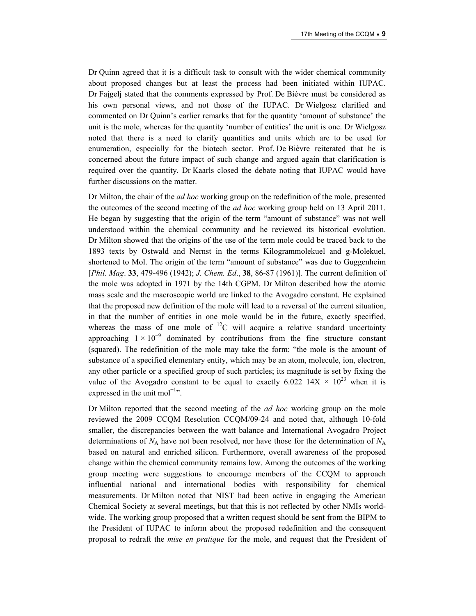Dr Quinn agreed that it is a difficult task to consult with the wider chemical community about proposed changes but at least the process had been initiated within IUPAC. Dr Fajgelj stated that the comments expressed by Prof. De Bièvre must be considered as his own personal views, and not those of the IUPAC. Dr Wielgosz clarified and commented on Dr Quinn's earlier remarks that for the quantity 'amount of substance' the unit is the mole, whereas for the quantity 'number of entities' the unit is one. Dr Wielgosz noted that there is a need to clarify quantities and units which are to be used for enumeration, especially for the biotech sector. Prof. De Bièvre reiterated that he is concerned about the future impact of such change and argued again that clarification is required over the quantity. Dr Kaarls closed the debate noting that IUPAC would have further discussions on the matter.

Dr Milton, the chair of the *ad hoc* working group on the redefinition of the mole, presented the outcomes of the second meeting of the *ad hoc* working group held on 13 April 2011. He began by suggesting that the origin of the term "amount of substance" was not well understood within the chemical community and he reviewed its historical evolution. Dr Milton showed that the origins of the use of the term mole could be traced back to the 1893 texts by Ostwald and Nernst in the terms Kilogrammolekuel and g-Molekuel, shortened to Mol. The origin of the term "amount of substance" was due to Guggenheim [*Phil. Mag*. **33**, 479-496 (1942); *J. Chem. Ed*., **38**, 86-87 (1961)]. The current definition of the mole was adopted in 1971 by the 14th CGPM. Dr Milton described how the atomic mass scale and the macroscopic world are linked to the Avogadro constant. He explained that the proposed new definition of the mole will lead to a reversal of the current situation, in that the number of entities in one mole would be in the future, exactly specified, whereas the mass of one mole of  ${}^{12}C$  will acquire a relative standard uncertainty approaching  $1 \times 10^{-9}$  dominated by contributions from the fine structure constant (squared). The redefinition of the mole may take the form: "the mole is the amount of substance of a specified elementary entity, which may be an atom, molecule, ion, electron, any other particle or a specified group of such particles; its magnitude is set by fixing the value of the Avogadro constant to be equal to exactly 6.022  $14X \times 10^{23}$  when it is expressed in the unit mol<sup>-1</sup>".

Dr Milton reported that the second meeting of the *ad hoc* working group on the mole reviewed the 2009 CCQM Resolution CCQM/09-24 and noted that, although 10-fold smaller, the discrepancies between the watt balance and International Avogadro Project determinations of  $N_A$  have not been resolved, nor have those for the determination of  $N_A$ based on natural and enriched silicon. Furthermore, overall awareness of the proposed change within the chemical community remains low. Among the outcomes of the working group meeting were suggestions to encourage members of the CCQM to approach influential national and international bodies with responsibility for chemical measurements. Dr Milton noted that NIST had been active in engaging the American Chemical Society at several meetings, but that this is not reflected by other NMIs worldwide. The working group proposed that a written request should be sent from the BIPM to the President of IUPAC to inform about the proposed redefinition and the consequent proposal to redraft the *mise en pratique* for the mole, and request that the President of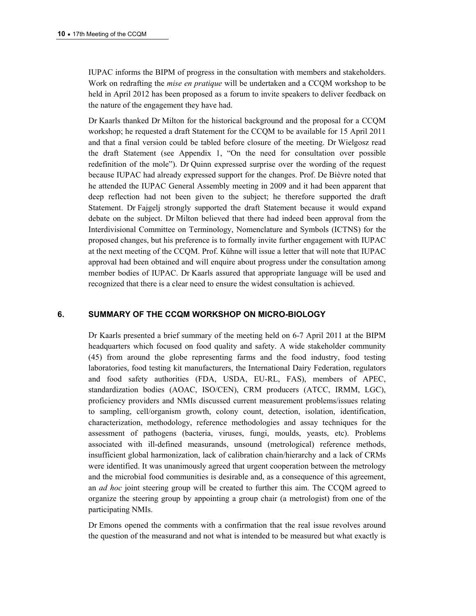IUPAC informs the BIPM of progress in the consultation with members and stakeholders. Work on redrafting the *mise en pratique* will be undertaken and a CCQM workshop to be held in April 2012 has been proposed as a forum to invite speakers to deliver feedback on the nature of the engagement they have had.

Dr Kaarls thanked Dr Milton for the historical background and the proposal for a CCQM workshop; he requested a draft Statement for the CCQM to be available for 15 April 2011 and that a final version could be tabled before closure of the meeting. Dr Wielgosz read the draft Statement (see Appendix 1, "On the need for consultation over possible redefinition of the mole"). Dr Quinn expressed surprise over the wording of the request because IUPAC had already expressed support for the changes. Prof. De Bièvre noted that he attended the IUPAC General Assembly meeting in 2009 and it had been apparent that deep reflection had not been given to the subject; he therefore supported the draft Statement. Dr Fajgelj strongly supported the draft Statement because it would expand debate on the subject. Dr Milton believed that there had indeed been approval from the Interdivisional Committee on Terminology, Nomenclature and Symbols (ICTNS) for the proposed changes, but his preference is to formally invite further engagement with IUPAC at the next meeting of the CCQM. Prof. Kühne will issue a letter that will note that IUPAC approval had been obtained and will enquire about progress under the consultation among member bodies of IUPAC. Dr Kaarls assured that appropriate language will be used and recognized that there is a clear need to ensure the widest consultation is achieved.

### **6. SUMMARY OF THE CCQM WORKSHOP ON MICRO-BIOLOGY**

Dr Kaarls presented a brief summary of the meeting held on 6-7 April 2011 at the BIPM headquarters which focused on food quality and safety. A wide stakeholder community (45) from around the globe representing farms and the food industry, food testing laboratories, food testing kit manufacturers, the International Dairy Federation, regulators and food safety authorities (FDA, USDA, EU-RL, FAS), members of APEC, standardization bodies (AOAC, ISO/CEN), CRM producers (ATCC, IRMM, LGC), proficiency providers and NMIs discussed current measurement problems/issues relating to sampling, cell/organism growth, colony count, detection, isolation, identification, characterization, methodology, reference methodologies and assay techniques for the assessment of pathogens (bacteria, viruses, fungi, moulds, yeasts, etc). Problems associated with ill-defined measurands, unsound (metrological) reference methods, insufficient global harmonization, lack of calibration chain/hierarchy and a lack of CRMs were identified. It was unanimously agreed that urgent cooperation between the metrology and the microbial food communities is desirable and, as a consequence of this agreement, an *ad hoc* joint steering group will be created to further this aim. The CCQM agreed to organize the steering group by appointing a group chair (a metrologist) from one of the participating NMIs.

Dr Emons opened the comments with a confirmation that the real issue revolves around the question of the measurand and not what is intended to be measured but what exactly is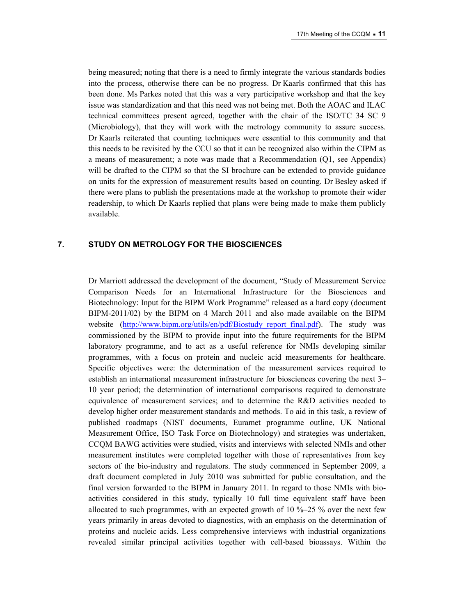being measured; noting that there is a need to firmly integrate the various standards bodies into the process, otherwise there can be no progress. Dr Kaarls confirmed that this has been done. Ms Parkes noted that this was a very participative workshop and that the key issue was standardization and that this need was not being met. Both the AOAC and ILAC technical committees present agreed, together with the chair of the ISO/TC 34 SC 9 (Microbiology), that they will work with the metrology community to assure success. Dr Kaarls reiterated that counting techniques were essential to this community and that this needs to be revisited by the CCU so that it can be recognized also within the CIPM as a means of measurement; a note was made that a Recommendation (Q1, see Appendix) will be drafted to the CIPM so that the SI brochure can be extended to provide guidance on units for the expression of measurement results based on counting. Dr Besley asked if there were plans to publish the presentations made at the workshop to promote their wider readership, to which Dr Kaarls replied that plans were being made to make them publicly available.

### **7. STUDY ON METROLOGY FOR THE BIOSCIENCES**

Dr Marriott addressed the development of the document, "Study of Measurement Service Comparison Needs for an International Infrastructure for the Biosciences and Biotechnology: Input for the BIPM Work Programme" released as a hard copy (document BIPM-2011/02) by the BIPM on 4 March 2011 and also made available on the BIPM website (http://www.bipm.org/utils/en/pdf/Biostudy report final.pdf). The study was commissioned by the BIPM to provide input into the future requirements for the BIPM laboratory programme, and to act as a useful reference for NMIs developing similar programmes, with a focus on protein and nucleic acid measurements for healthcare. Specific objectives were: the determination of the measurement services required to establish an international measurement infrastructure for biosciences covering the next 3– 10 year period; the determination of international comparisons required to demonstrate equivalence of measurement services; and to determine the R&D activities needed to develop higher order measurement standards and methods. To aid in this task, a review of published roadmaps (NIST documents, Euramet programme outline, UK National Measurement Office, ISO Task Force on Biotechnology) and strategies was undertaken, CCQM BAWG activities were studied, visits and interviews with selected NMIs and other measurement institutes were completed together with those of representatives from key sectors of the bio-industry and regulators. The study commenced in September 2009, a draft document completed in July 2010 was submitted for public consultation, and the final version forwarded to the BIPM in January 2011. In regard to those NMIs with bioactivities considered in this study, typically 10 full time equivalent staff have been allocated to such programmes, with an expected growth of 10  $\%$ –25  $\%$  over the next few years primarily in areas devoted to diagnostics, with an emphasis on the determination of proteins and nucleic acids. Less comprehensive interviews with industrial organizations revealed similar principal activities together with cell-based bioassays. Within the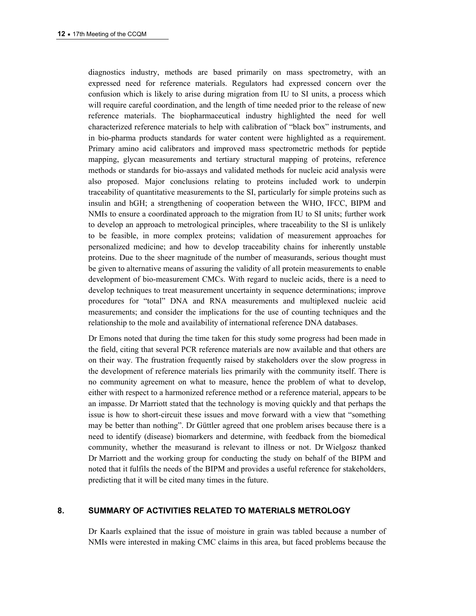diagnostics industry, methods are based primarily on mass spectrometry, with an expressed need for reference materials. Regulators had expressed concern over the confusion which is likely to arise during migration from IU to SI units, a process which will require careful coordination, and the length of time needed prior to the release of new reference materials. The biopharmaceutical industry highlighted the need for well characterized reference materials to help with calibration of "black box" instruments, and in bio-pharma products standards for water content were highlighted as a requirement. Primary amino acid calibrators and improved mass spectrometric methods for peptide mapping, glycan measurements and tertiary structural mapping of proteins, reference methods or standards for bio-assays and validated methods for nucleic acid analysis were also proposed. Major conclusions relating to proteins included work to underpin traceability of quantitative measurements to the SI, particularly for simple proteins such as insulin and hGH; a strengthening of cooperation between the WHO, IFCC, BIPM and NMIs to ensure a coordinated approach to the migration from IU to SI units; further work to develop an approach to metrological principles, where traceability to the SI is unlikely to be feasible, in more complex proteins; validation of measurement approaches for personalized medicine; and how to develop traceability chains for inherently unstable proteins. Due to the sheer magnitude of the number of measurands, serious thought must be given to alternative means of assuring the validity of all protein measurements to enable development of bio-measurement CMCs. With regard to nucleic acids, there is a need to develop techniques to treat measurement uncertainty in sequence determinations; improve procedures for "total" DNA and RNA measurements and multiplexed nucleic acid measurements; and consider the implications for the use of counting techniques and the relationship to the mole and availability of international reference DNA databases.

Dr Emons noted that during the time taken for this study some progress had been made in the field, citing that several PCR reference materials are now available and that others are on their way. The frustration frequently raised by stakeholders over the slow progress in the development of reference materials lies primarily with the community itself. There is no community agreement on what to measure, hence the problem of what to develop, either with respect to a harmonized reference method or a reference material, appears to be an impasse. Dr Marriott stated that the technology is moving quickly and that perhaps the issue is how to short-circuit these issues and move forward with a view that "something may be better than nothing". Dr Güttler agreed that one problem arises because there is a need to identify (disease) biomarkers and determine, with feedback from the biomedical community, whether the measurand is relevant to illness or not. Dr Wielgosz thanked Dr Marriott and the working group for conducting the study on behalf of the BIPM and noted that it fulfils the needs of the BIPM and provides a useful reference for stakeholders, predicting that it will be cited many times in the future.

### **8. SUMMARY OF ACTIVITIES RELATED TO MATERIALS METROLOGY**

Dr Kaarls explained that the issue of moisture in grain was tabled because a number of NMIs were interested in making CMC claims in this area, but faced problems because the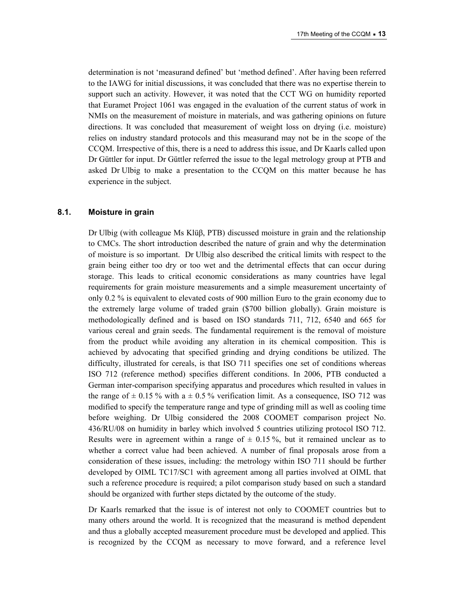determination is not 'measurand defined' but 'method defined'. After having been referred to the IAWG for initial discussions, it was concluded that there was no expertise therein to support such an activity. However, it was noted that the CCT WG on humidity reported that Euramet Project 1061 was engaged in the evaluation of the current status of work in NMIs on the measurement of moisture in materials, and was gathering opinions on future directions. It was concluded that measurement of weight loss on drying (i.e. moisture) relies on industry standard protocols and this measurand may not be in the scope of the CCQM. Irrespective of this, there is a need to address this issue, and Dr Kaarls called upon Dr Güttler for input. Dr Güttler referred the issue to the legal metrology group at PTB and asked Dr Ulbig to make a presentation to the CCQM on this matter because he has experience in the subject.

#### **8.1. Moisture in grain**

Dr Ulbig (with colleague Ms Klüβ, PTB) discussed moisture in grain and the relationship to CMCs. The short introduction described the nature of grain and why the determination of moisture is so important. Dr Ulbig also described the critical limits with respect to the grain being either too dry or too wet and the detrimental effects that can occur during storage. This leads to critical economic considerations as many countries have legal requirements for grain moisture measurements and a simple measurement uncertainty of only 0.2 % is equivalent to elevated costs of 900 million Euro to the grain economy due to the extremely large volume of traded grain (\$700 billion globally). Grain moisture is methodologically defined and is based on ISO standards 711, 712, 6540 and 665 for various cereal and grain seeds. The fundamental requirement is the removal of moisture from the product while avoiding any alteration in its chemical composition. This is achieved by advocating that specified grinding and drying conditions be utilized. The difficulty, illustrated for cereals, is that ISO 711 specifies one set of conditions whereas ISO 712 (reference method) specifies different conditions. In 2006, PTB conducted a German inter-comparison specifying apparatus and procedures which resulted in values in the range of  $\pm$  0.15 % with a  $\pm$  0.5 % verification limit. As a consequence, ISO 712 was modified to specify the temperature range and type of grinding mill as well as cooling time before weighing. Dr Ulbig considered the 2008 COOMET comparison project No. 436/RU/08 on humidity in barley which involved 5 countries utilizing protocol ISO 712. Results were in agreement within a range of  $\pm$  0.15%, but it remained unclear as to whether a correct value had been achieved. A number of final proposals arose from a consideration of these issues, including: the metrology within ISO 711 should be further developed by OIML TC17/SC1 with agreement among all parties involved at OIML that such a reference procedure is required; a pilot comparison study based on such a standard should be organized with further steps dictated by the outcome of the study.

Dr Kaarls remarked that the issue is of interest not only to COOMET countries but to many others around the world. It is recognized that the measurand is method dependent and thus a globally accepted measurement procedure must be developed and applied. This is recognized by the CCQM as necessary to move forward, and a reference level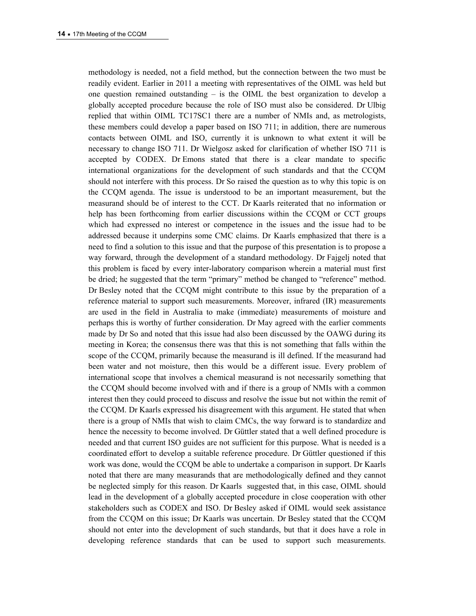methodology is needed, not a field method, but the connection between the two must be readily evident. Earlier in 2011 a meeting with representatives of the OIML was held but one question remained outstanding – is the OIML the best organization to develop a globally accepted procedure because the role of ISO must also be considered. Dr Ulbig replied that within OIML TC17SC1 there are a number of NMIs and, as metrologists, these members could develop a paper based on ISO 711; in addition, there are numerous contacts between OIML and ISO, currently it is unknown to what extent it will be necessary to change ISO 711. Dr Wielgosz asked for clarification of whether ISO 711 is accepted by CODEX. Dr Emons stated that there is a clear mandate to specific international organizations for the development of such standards and that the CCQM should not interfere with this process. Dr So raised the question as to why this topic is on the CCQM agenda. The issue is understood to be an important measurement, but the measurand should be of interest to the CCT. Dr Kaarls reiterated that no information or help has been forthcoming from earlier discussions within the CCQM or CCT groups which had expressed no interest or competence in the issues and the issue had to be addressed because it underpins some CMC claims. Dr Kaarls emphasized that there is a need to find a solution to this issue and that the purpose of this presentation is to propose a way forward, through the development of a standard methodology. Dr Fajgelj noted that this problem is faced by every inter-laboratory comparison wherein a material must first be dried; he suggested that the term "primary" method be changed to "reference" method. Dr Besley noted that the CCQM might contribute to this issue by the preparation of a reference material to support such measurements. Moreover, infrared (IR) measurements are used in the field in Australia to make (immediate) measurements of moisture and perhaps this is worthy of further consideration. Dr May agreed with the earlier comments made by Dr So and noted that this issue had also been discussed by the OAWG during its meeting in Korea; the consensus there was that this is not something that falls within the scope of the CCQM, primarily because the measurand is ill defined. If the measurand had been water and not moisture, then this would be a different issue. Every problem of international scope that involves a chemical measurand is not necessarily something that the CCQM should become involved with and if there is a group of NMIs with a common interest then they could proceed to discuss and resolve the issue but not within the remit of the CCQM. Dr Kaarls expressed his disagreement with this argument. He stated that when there is a group of NMIs that wish to claim CMCs, the way forward is to standardize and hence the necessity to become involved. Dr Güttler stated that a well defined procedure is needed and that current ISO guides are not sufficient for this purpose. What is needed is a coordinated effort to develop a suitable reference procedure. Dr Güttler questioned if this work was done, would the CCQM be able to undertake a comparison in support. Dr Kaarls noted that there are many measurands that are methodologically defined and they cannot be neglected simply for this reason. Dr Kaarls suggested that, in this case, OIML should lead in the development of a globally accepted procedure in close cooperation with other stakeholders such as CODEX and ISO. Dr Besley asked if OIML would seek assistance from the CCQM on this issue; Dr Kaarls was uncertain. Dr Besley stated that the CCQM should not enter into the development of such standards, but that it does have a role in developing reference standards that can be used to support such measurements.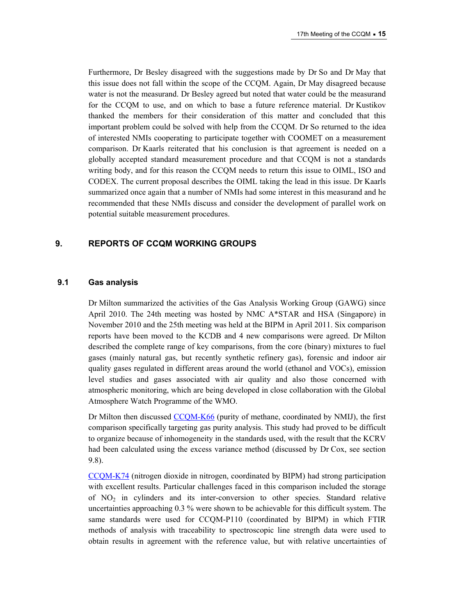Furthermore, Dr Besley disagreed with the suggestions made by Dr So and Dr May that this issue does not fall within the scope of the CCQM. Again, Dr May disagreed because water is not the measurand. Dr Besley agreed but noted that water could be the measurand for the CCQM to use, and on which to base a future reference material. Dr Kustikov thanked the members for their consideration of this matter and concluded that this important problem could be solved with help from the CCQM. Dr So returned to the idea of interested NMIs cooperating to participate together with COOMET on a measurement comparison. Dr Kaarls reiterated that his conclusion is that agreement is needed on a globally accepted standard measurement procedure and that CCQM is not a standards writing body, and for this reason the CCQM needs to return this issue to OIML, ISO and CODEX. The current proposal describes the OIML taking the lead in this issue. Dr Kaarls summarized once again that a number of NMIs had some interest in this measurand and he recommended that these NMIs discuss and consider the development of parallel work on potential suitable measurement procedures.

### **9. REPORTS OF CCQM WORKING GROUPS**

### **9.1 Gas analysis**

Dr Milton summarized the activities of the Gas Analysis Working Group (GAWG) since April 2010. The 24th meeting was hosted by NMC A\*STAR and HSA (Singapore) in November 2010 and the 25th meeting was held at the BIPM in April 2011. Six comparison reports have been moved to the KCDB and 4 new comparisons were agreed. Dr Milton described the complete range of key comparisons, from the core (binary) mixtures to fuel gases (mainly natural gas, but recently synthetic refinery gas), forensic and indoor air quality gases regulated in different areas around the world (ethanol and VOCs), emission level studies and gases associated with air quality and also those concerned with atmospheric monitoring, which are being developed in close collaboration with the Global Atmosphere Watch Programme of the WMO.

Dr Milton then discussed [CCQM-K66](http://kcdb.bipm.org/appendixB/KCDB_ApB_info.asp?cmp_idy=895&cmp_cod=CCQM-K66&prov=exalead) (purity of methane, coordinated by NMIJ), the first comparison specifically targeting gas purity analysis. This study had proved to be difficult to organize because of inhomogeneity in the standards used, with the result that the KCRV had been calculated using the excess variance method (discussed by Dr Cox, see section 9.8).

[CCQM-K74](http://kcdb.bipm.org/appendixB/KCDB_ApB_info.asp?cmp_idy=968&cmp_cod=CCQM-K74&prov=exalead) (nitrogen dioxide in nitrogen, coordinated by BIPM) had strong participation with excellent results. Particular challenges faced in this comparison included the storage of  $NO<sub>2</sub>$  in cylinders and its inter-conversion to other species. Standard relative uncertainties approaching 0.3 % were shown to be achievable for this difficult system. The same standards were used for CCQM-P110 (coordinated by BIPM) in which FTIR methods of analysis with traceability to spectroscopic line strength data were used to obtain results in agreement with the reference value, but with relative uncertainties of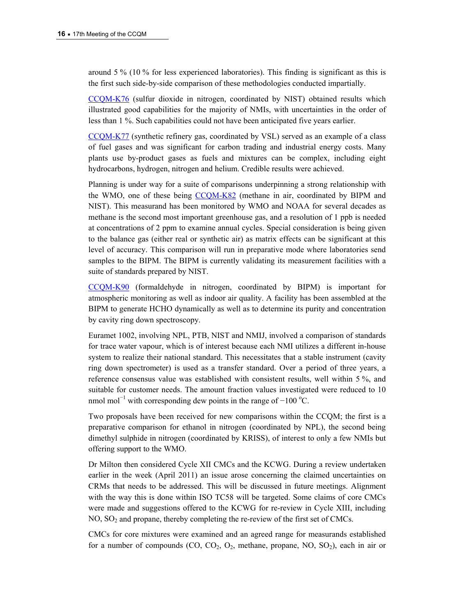around 5 % (10 % for less experienced laboratories). This finding is significant as this is the first such side-by-side comparison of these methodologies conducted impartially.

[CCQM-K76](http://kcdb.bipm.org/appendixB/KCDB_ApB_info.asp?cmp_idy=1034&cmp_cod=CCQM-K76&prov=exalead) (sulfur dioxide in nitrogen, coordinated by NIST) obtained results which illustrated good capabilities for the majority of NMIs, with uncertainties in the order of less than 1 %. Such capabilities could not have been anticipated five years earlier.

[CCQM-K77](http://kcdb.bipm.org/appendixB/KCDB_ApB_info.asp?cmp_idy=1033&cmp_cod=CCQM-K77&prov=exalead) (synthetic refinery gas, coordinated by VSL) served as an example of a class of fuel gases and was significant for carbon trading and industrial energy costs. Many plants use by-product gases as fuels and mixtures can be complex, including eight hydrocarbons, hydrogen, nitrogen and helium. Credible results were achieved.

Planning is under way for a suite of comparisons underpinning a strong relationship with the WMO, one of these being [CCQM-K82](http://kcdb.bipm.org/appendixB/KCDB_ApB_info.asp?cmp_idy=1062&cmp_cod=CCQM-K82&prov=exalead) (methane in air, coordinated by BIPM and NIST). This measurand has been monitored by WMO and NOAA for several decades as methane is the second most important greenhouse gas, and a resolution of 1 ppb is needed at concentrations of 2 ppm to examine annual cycles. Special consideration is being given to the balance gas (either real or synthetic air) as matrix effects can be significant at this level of accuracy. This comparison will run in preparative mode where laboratories send samples to the BIPM. The BIPM is currently validating its measurement facilities with a suite of standards prepared by NIST.

[CCQM-K90](http://kcdb.bipm.org/appendixB/KCDB_ApB_info.asp?cmp_idy=1095&cmp_cod=CCQM-K90&prov=exalead) (formaldehyde in nitrogen, coordinated by BIPM) is important for atmospheric monitoring as well as indoor air quality. A facility has been assembled at the BIPM to generate HCHO dynamically as well as to determine its purity and concentration by cavity ring down spectroscopy.

Euramet 1002, involving NPL, PTB, NIST and NMIJ, involved a comparison of standards for trace water vapour, which is of interest because each NMI utilizes a different in-house system to realize their national standard. This necessitates that a stable instrument (cavity ring down spectrometer) is used as a transfer standard. Over a period of three years, a reference consensus value was established with consistent results, well within 5 %, and suitable for customer needs. The amount fraction values investigated were reduced to 10 nmol mol<sup>-1</sup> with corresponding dew points in the range of  $-100$  °C.

Two proposals have been received for new comparisons within the CCQM; the first is a preparative comparison for ethanol in nitrogen (coordinated by NPL), the second being dimethyl sulphide in nitrogen (coordinated by KRISS), of interest to only a few NMIs but offering support to the WMO.

Dr Milton then considered Cycle XII CMCs and the KCWG. During a review undertaken earlier in the week (April 2011) an issue arose concerning the claimed uncertainties on CRMs that needs to be addressed. This will be discussed in future meetings. Alignment with the way this is done within ISO TC58 will be targeted. Some claims of core CMCs were made and suggestions offered to the KCWG for re-review in Cycle XIII, including  $NO$ ,  $SO<sub>2</sub>$  and propane, thereby completing the re-review of the first set of CMCs.

CMCs for core mixtures were examined and an agreed range for measurands established for a number of compounds (CO,  $CO<sub>2</sub>$ ,  $O<sub>2</sub>$ , methane, propane, NO,  $SO<sub>2</sub>$ ), each in air or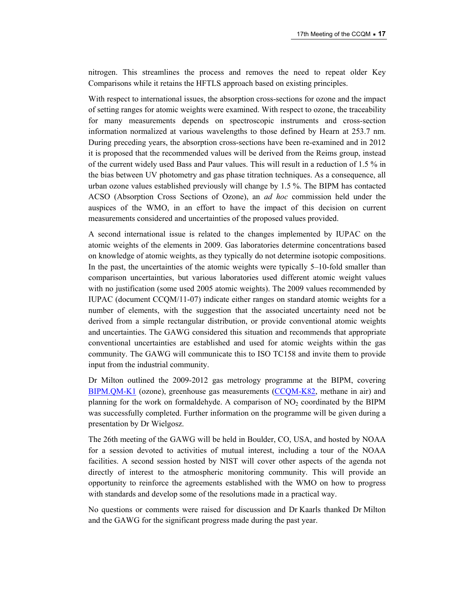nitrogen. This streamlines the process and removes the need to repeat older Key Comparisons while it retains the HFTLS approach based on existing principles.

With respect to international issues, the absorption cross-sections for ozone and the impact of setting ranges for atomic weights were examined. With respect to ozone, the traceability for many measurements depends on spectroscopic instruments and cross-section information normalized at various wavelengths to those defined by Hearn at 253.7 nm. During preceding years, the absorption cross-sections have been re-examined and in 2012 it is proposed that the recommended values will be derived from the Reims group, instead of the current widely used Bass and Paur values. This will result in a reduction of 1.5 % in the bias between UV photometry and gas phase titration techniques. As a consequence, all urban ozone values established previously will change by 1.5 %. The BIPM has contacted ACSO (Absorption Cross Sections of Ozone), an *ad hoc* commission held under the auspices of the WMO, in an effort to have the impact of this decision on current measurements considered and uncertainties of the proposed values provided.

A second international issue is related to the changes implemented by IUPAC on the atomic weights of the elements in 2009. Gas laboratories determine concentrations based on knowledge of atomic weights, as they typically do not determine isotopic compositions. In the past, the uncertainties of the atomic weights were typically 5–10-fold smaller than comparison uncertainties, but various laboratories used different atomic weight values with no justification (some used 2005 atomic weights). The 2009 values recommended by IUPAC (document CCQM/11-07) indicate either ranges on standard atomic weights for a number of elements, with the suggestion that the associated uncertainty need not be derived from a simple rectangular distribution, or provide conventional atomic weights and uncertainties. The GAWG considered this situation and recommends that appropriate conventional uncertainties are established and used for atomic weights within the gas community. The GAWG will communicate this to ISO TC158 and invite them to provide input from the industrial community.

Dr Milton outlined the 2009-2012 gas metrology programme at the BIPM, covering [BIPM.QM-K1](http://kcdb.bipm.org/appendixB/KCDB_ApB_info.asp?cmp_idy=733&cmp_cod=BIPM.QM-K1&prov=exalead) (ozone), greenhouse gas measurements [\(CCQM-K82,](http://kcdb.bipm.org/appendixB/KCDB_ApB_info.asp?cmp_idy=1062&cmp_cod=CCQM-K82&prov=exalead) methane in air) and planning for the work on formaldehyde. A comparison of  $NO<sub>2</sub>$  coordinated by the BIPM was successfully completed. Further information on the programme will be given during a presentation by Dr Wielgosz.

The 26th meeting of the GAWG will be held in Boulder, CO, USA, and hosted by NOAA for a session devoted to activities of mutual interest, including a tour of the NOAA facilities. A second session hosted by NIST will cover other aspects of the agenda not directly of interest to the atmospheric monitoring community. This will provide an opportunity to reinforce the agreements established with the WMO on how to progress with standards and develop some of the resolutions made in a practical way.

No questions or comments were raised for discussion and Dr Kaarls thanked Dr Milton and the GAWG for the significant progress made during the past year.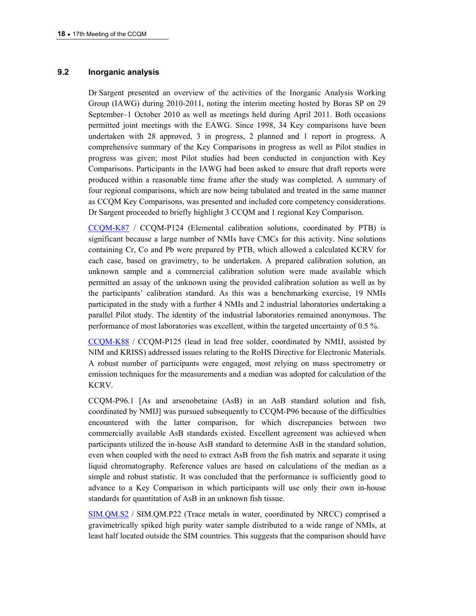### **9.2 Inorganic analysis**

Dr Sargent presented an overview of the activities of the Inorganic Analysis Working Group (IAWG) during 2010-2011, noting the interim meeting hosted by Boras SP on 29 September–1 October 2010 as well as meetings held during April 2011. Both occasions permitted joint meetings with the EAWG. Since 1998, 34 Key comparisons have been undertaken with 28 approved, 3 in progress, 2 planned and 1 report in progress. A comprehensive summary of the Key Comparisons in progress as well as Pilot studies in progress was given; most Pilot studies had been conducted in conjunction with Key Comparisons. Participants in the IAWG had been asked to ensure that draft reports were produced within a reasonable time frame after the study was completed. A summary of four regional comparisons, which are now being tabulated and treated in the same manner as CCQM Key Comparisons, was presented and included core competency considerations. Dr Sargent proceeded to briefly highlight 3 CCQM and 1 regional Key Comparison.

[CCQM-K87](http://kcdb.bipm.org/appendixB/KCDB_ApB_info.asp?cmp_idy=1047&cmp_cod=CCQM-K87&prov=exalead) / CCQM-P124 (Elemental calibration solutions, coordinated by PTB) is significant because a large number of NMIs have CMCs for this activity. Nine solutions containing Cr, Co and Pb were prepared by PTB, which allowed a calculated KCRV for each case, based on gravimetry, to be undertaken. A prepared calibration solution, an unknown sample and a commercial calibration solution were made available which permitted an assay of the unknown using the provided calibration solution as well as by the participants' calibration standard. As this was a benchmarking exercise, 19 NMIs participated in the study with a further 4 NMIs and 2 industrial laboratories undertaking a parallel Pilot study. The identity of the industrial laboratories remained anonymous. The performance of most laboratories was excellent, within the targeted uncertainty of 0.5 %.

[CCQM-K88](http://kcdb.bipm.org/appendixB/KCDB_ApB_info.asp?cmp_idy=1054&cmp_cod=CCQM-K88&prov=exalead) / CCQM-P125 (lead in lead free solder, coordinated by NMIJ, assisted by NIM and KRISS) addressed issues relating to the RoHS Directive for Electronic Materials. A robust number of participants were engaged, most relying on mass spectrometry or emission techniques for the measurements and a median was adopted for calculation of the KCRV.

CCQM-P96.1 [As and arsenobetaine (AsB) in an AsB standard solution and fish, coordinated by NMIJ] was pursued subsequently to CCQM-P96 because of the difficulties encountered with the latter comparison, for which discrepancies between two commercially available AsB standards existed. Excellent agreement was achieved when participants utilized the in-house AsB standard to determine AsB in the standard solution, even when coupled with the need to extract AsB from the fish matrix and separate it using liquid chromatography. Reference values are based on calculations of the median as a simple and robust statistic. It was concluded that the performance is sufficiently good to advance to a Key Comparison in which participants will use only their own in-house standards for quantitation of AsB in an unknown fish tissue.

[SIM.QM.S2](http://kcdb.bipm.org/appendixB/KCDB_ApB_info.asp?cmp_idy=1041&cmp_cod=SIM.QM-S2&prov=exalead) / SIM.QM.P22 (Trace metals in water, coordinated by NRCC) comprised a gravimetrically spiked high purity water sample distributed to a wide range of NMIs, at least half located outside the SIM countries. This suggests that the comparison should have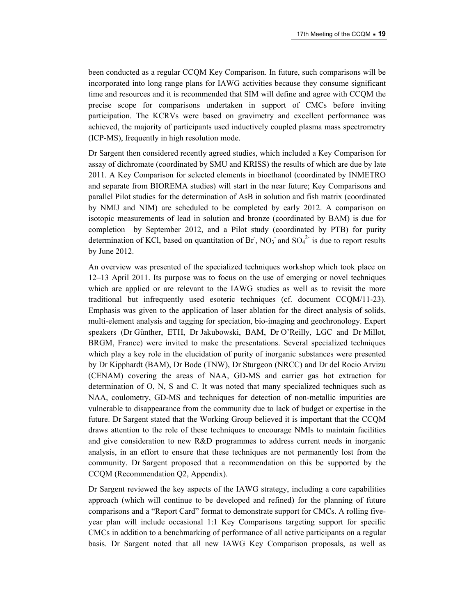been conducted as a regular CCQM Key Comparison. In future, such comparisons will be incorporated into long range plans for IAWG activities because they consume significant time and resources and it is recommended that SIM will define and agree with CCQM the precise scope for comparisons undertaken in support of CMCs before inviting participation. The KCRVs were based on gravimetry and excellent performance was achieved, the majority of participants used inductively coupled plasma mass spectrometry (ICP-MS), frequently in high resolution mode.

Dr Sargent then considered recently agreed studies, which included a Key Comparison for assay of dichromate (coordinated by SMU and KRISS) the results of which are due by late 2011. A Key Comparison for selected elements in bioethanol (coordinated by INMETRO and separate from BIOREMA studies) will start in the near future; Key Comparisons and parallel Pilot studies for the determination of AsB in solution and fish matrix (coordinated by NMIJ and NIM) are scheduled to be completed by early 2012. A comparison on isotopic measurements of lead in solution and bronze (coordinated by BAM) is due for completion by September 2012, and a Pilot study (coordinated by PTB) for purity determination of KCl, based on quantitation of Br,  $NO_3$  and  $SO_4^2$  is due to report results by June 2012.

An overview was presented of the specialized techniques workshop which took place on 12–13 April 2011. Its purpose was to focus on the use of emerging or novel techniques which are applied or are relevant to the IAWG studies as well as to revisit the more traditional but infrequently used esoteric techniques (cf. document CCQM/11-23). Emphasis was given to the application of laser ablation for the direct analysis of solids, multi-element analysis and tagging for speciation, bio-imaging and geochronology. Expert speakers (Dr Günther, ETH, Dr Jakubowski, BAM, Dr O'Reilly, LGC and Dr Millot, BRGM, France) were invited to make the presentations. Several specialized techniques which play a key role in the elucidation of purity of inorganic substances were presented by Dr Kipphardt (BAM), Dr Bode (TNW), Dr Sturgeon (NRCC) and Dr del Rocio Arvizu (CENAM) covering the areas of NAA, GD-MS and carrier gas hot extraction for determination of O, N, S and C. It was noted that many specialized techniques such as NAA, coulometry, GD-MS and techniques for detection of non-metallic impurities are vulnerable to disappearance from the community due to lack of budget or expertise in the future. Dr Sargent stated that the Working Group believed it is important that the CCQM draws attention to the role of these techniques to encourage NMIs to maintain facilities and give consideration to new R&D programmes to address current needs in inorganic analysis, in an effort to ensure that these techniques are not permanently lost from the community. Dr Sargent proposed that a recommendation on this be supported by the CCQM (Recommendation Q2, Appendix).

Dr Sargent reviewed the key aspects of the IAWG strategy, including a core capabilities approach (which will continue to be developed and refined) for the planning of future comparisons and a "Report Card" format to demonstrate support for CMCs. A rolling fiveyear plan will include occasional 1:1 Key Comparisons targeting support for specific CMCs in addition to a benchmarking of performance of all active participants on a regular basis. Dr Sargent noted that all new IAWG Key Comparison proposals, as well as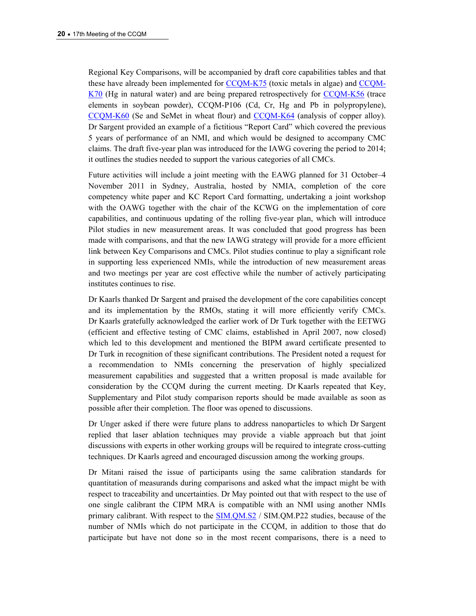Regional Key Comparisons, will be accompanied by draft core capabilities tables and that these have already been implemented for [CCQM-K75](http://kcdb.bipm.org/appendixB/KCDB_ApB_info.asp?cmp_idy=1073&cmp_cod=CCQM-K75&prov=exalead) (toxic metals in algae) and [CCQM-](http://kcdb.bipm.org/appendixB/KCDB_ApB_info.asp?cmp_idy=918&cmp_cod=CCQM-K70&prov=exalead)[K70](http://kcdb.bipm.org/appendixB/KCDB_ApB_info.asp?cmp_idy=918&cmp_cod=CCQM-K70&prov=exalead) (Hg in natural water) and are being prepared retrospectively for [CCQM-K56](http://kcdb.bipm.org/appendixB/KCDB_ApB_info.asp?cmp_idy=832&cmp_cod=CCQM-K56&prov=exalead) (trace elements in soybean powder), CCQM-P106 (Cd, Cr, Hg and Pb in polypropylene), [CCQM-K60](http://kcdb.bipm.org/appendixB/KCDB_ApB_info.asp?cmp_idy=830&cmp_cod=CCQM-K60&prov=exalead) (Se and SeMet in wheat flour) and [CCQM-K64](http://kcdb.bipm.org/appendixB/KCDB_ApB_info.asp?cmp_idy=866&cmp_cod=CCQM-K64&prov=exalead) (analysis of copper alloy). Dr Sargent provided an example of a fictitious "Report Card" which covered the previous 5 years of performance of an NMI, and which would be designed to accompany CMC claims. The draft five-year plan was introduced for the IAWG covering the period to 2014; it outlines the studies needed to support the various categories of all CMCs.

Future activities will include a joint meeting with the EAWG planned for 31 October–4 November 2011 in Sydney, Australia, hosted by NMIA, completion of the core competency white paper and KC Report Card formatting, undertaking a joint workshop with the OAWG together with the chair of the KCWG on the implementation of core capabilities, and continuous updating of the rolling five-year plan, which will introduce Pilot studies in new measurement areas. It was concluded that good progress has been made with comparisons, and that the new IAWG strategy will provide for a more efficient link between Key Comparisons and CMCs. Pilot studies continue to play a significant role in supporting less experienced NMIs, while the introduction of new measurement areas and two meetings per year are cost effective while the number of actively participating institutes continues to rise.

Dr Kaarls thanked Dr Sargent and praised the development of the core capabilities concept and its implementation by the RMOs, stating it will more efficiently verify CMCs. Dr Kaarls gratefully acknowledged the earlier work of Dr Turk together with the EETWG (efficient and effective testing of CMC claims, established in April 2007, now closed) which led to this development and mentioned the BIPM award certificate presented to Dr Turk in recognition of these significant contributions. The President noted a request for a recommendation to NMIs concerning the preservation of highly specialized measurement capabilities and suggested that a written proposal is made available for consideration by the CCQM during the current meeting. Dr Kaarls repeated that Key, Supplementary and Pilot study comparison reports should be made available as soon as possible after their completion. The floor was opened to discussions.

Dr Unger asked if there were future plans to address nanoparticles to which Dr Sargent replied that laser ablation techniques may provide a viable approach but that joint discussions with experts in other working groups will be required to integrate cross-cutting techniques. Dr Kaarls agreed and encouraged discussion among the working groups.

Dr Mitani raised the issue of participants using the same calibration standards for quantitation of measurands during comparisons and asked what the impact might be with respect to traceability and uncertainties. Dr May pointed out that with respect to the use of one single calibrant the CIPM MRA is compatible with an NMI using another NMIs primary calibrant. With respect to the [SIM.QM.S2](http://kcdb.bipm.org/appendixB/KCDB_ApB_info.asp?cmp_idy=1041&cmp_cod=SIM.QM-S2&prov=exalead) / SIM.QM.P22 studies, because of the number of NMIs which do not participate in the CCQM, in addition to those that do participate but have not done so in the most recent comparisons, there is a need to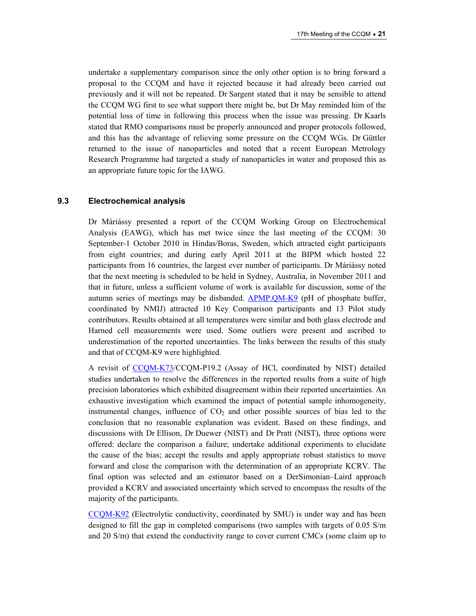undertake a supplementary comparison since the only other option is to bring forward a proposal to the CCQM and have it rejected because it had already been carried out previously and it will not be repeated. Dr Sargent stated that it may be sensible to attend the CCQM WG first to see what support there might be, but Dr May reminded him of the potential loss of time in following this process when the issue was pressing. Dr Kaarls stated that RMO comparisons must be properly announced and proper protocols followed, and this has the advantage of relieving some pressure on the CCQM WGs. Dr Güttler returned to the issue of nanoparticles and noted that a recent European Metrology Research Programme had targeted a study of nanoparticles in water and proposed this as an appropriate future topic for the IAWG.

### **9.3 Electrochemical analysis**

Dr Máriássy presented a report of the CCQM Working Group on Electrochemical Analysis (EAWG), which has met twice since the last meeting of the CCQM: 30 September-1 October 2010 in Hindas/Boras, Sweden, which attracted eight participants from eight countries; and during early April 2011 at the BIPM which hosted 22 participants from 16 countries, the largest ever number of participants. Dr Máriássy noted that the next meeting is scheduled to be held in Sydney, Australia, in November 2011 and that in future, unless a sufficient volume of work is available for discussion, some of the autumn series of meetings may be disbanded. [APMP.QM-K9](http://kcdb.bipm.org/appendixB/KCDB_ApB_info.asp?cmp_idy=1045&cmp_cod=APMP.QM-K9&prov=exalead) (pH of phosphate buffer, coordinated by NMIJ) attracted 10 Key Comparison participants and 13 Pilot study contributors. Results obtained at all temperatures were similar and both glass electrode and Harned cell measurements were used. Some outliers were present and ascribed to underestimation of the reported uncertainties. The links between the results of this study and that of CCQM-K9 were highlighted.

A revisit of [CCQM-K73](http://kcdb.bipm.org/appendixB/KCDB_ApB_info.asp?cmp_idy=970&cmp_cod=CCQM-K73&prov=exalead)/CCQM-P19.2 (Assay of HCl, coordinated by NIST) detailed studies undertaken to resolve the differences in the reported results from a suite of high precision laboratories which exhibited disagreement within their reported uncertainties. An exhaustive investigation which examined the impact of potential sample inhomogeneity, instrumental changes, influence of  $CO<sub>2</sub>$  and other possible sources of bias led to the conclusion that no reasonable explanation was evident. Based on these findings, and discussions with Dr Ellison, Dr Duewer (NIST) and Dr Pratt (NIST), three options were offered: declare the comparison a failure; undertake additional experiments to elucidate the cause of the bias; accept the results and apply appropriate robust statistics to move forward and close the comparison with the determination of an appropriate KCRV. The final option was selected and an estimator based on a DerSimonian–Laird approach provided a KCRV and associated uncertainty which served to encompass the results of the majority of the participants.

[CCQM-K92](http://kcdb.bipm.org/appendixB/KCDB_ApB_info.asp?cmp_idy=1097&cmp_cod=CCQM-K92&prov=exalead) (Electrolytic conductivity, coordinated by SMU) is under way and has been designed to fill the gap in completed comparisons (two samples with targets of 0.05 S/m and 20 S/m) that extend the conductivity range to cover current CMCs (some claim up to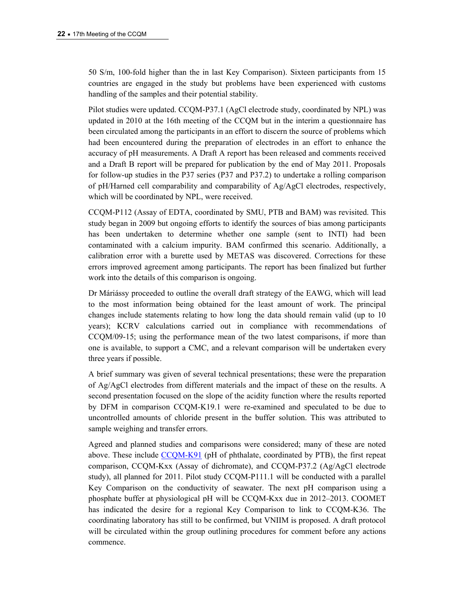50 S/m, 100-fold higher than the in last Key Comparison). Sixteen participants from 15 countries are engaged in the study but problems have been experienced with customs handling of the samples and their potential stability.

Pilot studies were updated. CCQM-P37.1 (AgCl electrode study, coordinated by NPL) was updated in 2010 at the 16th meeting of the CCQM but in the interim a questionnaire has been circulated among the participants in an effort to discern the source of problems which had been encountered during the preparation of electrodes in an effort to enhance the accuracy of pH measurements. A Draft A report has been released and comments received and a Draft B report will be prepared for publication by the end of May 2011. Proposals for follow-up studies in the P37 series (P37 and P37.2) to undertake a rolling comparison of pH/Harned cell comparability and comparability of Ag/AgCl electrodes, respectively, which will be coordinated by NPL, were received.

CCQM-P112 (Assay of EDTA, coordinated by SMU, PTB and BAM) was revisited. This study began in 2009 but ongoing efforts to identify the sources of bias among participants has been undertaken to determine whether one sample (sent to INTI) had been contaminated with a calcium impurity. BAM confirmed this scenario. Additionally, a calibration error with a burette used by METAS was discovered. Corrections for these errors improved agreement among participants. The report has been finalized but further work into the details of this comparison is ongoing.

Dr Máriássy proceeded to outline the overall draft strategy of the EAWG, which will lead to the most information being obtained for the least amount of work. The principal changes include statements relating to how long the data should remain valid (up to 10 years); KCRV calculations carried out in compliance with recommendations of CCQM/09-15; using the performance mean of the two latest comparisons, if more than one is available, to support a CMC, and a relevant comparison will be undertaken every three years if possible.

A brief summary was given of several technical presentations; these were the preparation of Ag/AgCl electrodes from different materials and the impact of these on the results. A second presentation focused on the slope of the acidity function where the results reported by DFM in comparison CCQM-K19.1 were re-examined and speculated to be due to uncontrolled amounts of chloride present in the buffer solution. This was attributed to sample weighing and transfer errors.

Agreed and planned studies and comparisons were considered; many of these are noted above. These include [CCQM-K91](http://kcdb.bipm.org/appendixB/KCDB_ApB_info.asp?cmp_idy=1096&cmp_cod=CCQM-K91&prov=exalead) (pH of phthalate, coordinated by PTB), the first repeat comparison, CCQM-Kxx (Assay of dichromate), and CCQM-P37.2 (Ag/AgCl electrode study), all planned for 2011. Pilot study CCQM-P111.1 will be conducted with a parallel Key Comparison on the conductivity of seawater. The next pH comparison using a phosphate buffer at physiological pH will be CCQM-Kxx due in 2012–2013. COOMET has indicated the desire for a regional Key Comparison to link to CCQM-K36. The coordinating laboratory has still to be confirmed, but VNIIM is proposed. A draft protocol will be circulated within the group outlining procedures for comment before any actions commence.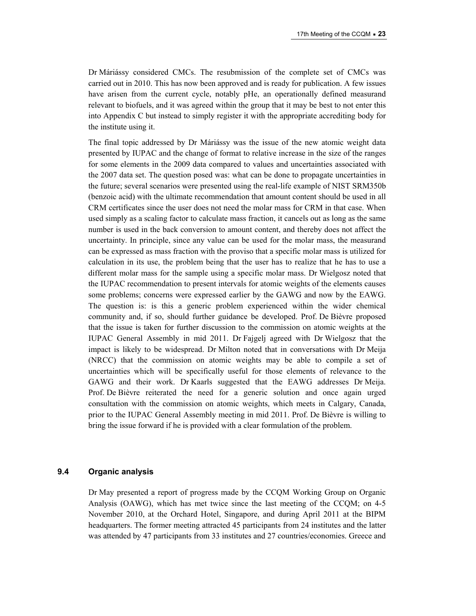Dr Máriássy considered CMCs. The resubmission of the complete set of CMCs was carried out in 2010. This has now been approved and is ready for publication. A few issues have arisen from the current cycle, notably pHe, an operationally defined measurand relevant to biofuels, and it was agreed within the group that it may be best to not enter this into Appendix C but instead to simply register it with the appropriate accrediting body for the institute using it.

The final topic addressed by Dr Máriássy was the issue of the new atomic weight data presented by IUPAC and the change of format to relative increase in the size of the ranges for some elements in the 2009 data compared to values and uncertainties associated with the 2007 data set. The question posed was: what can be done to propagate uncertainties in the future; several scenarios were presented using the real-life example of NIST SRM350b (benzoic acid) with the ultimate recommendation that amount content should be used in all CRM certificates since the user does not need the molar mass for CRM in that case. When used simply as a scaling factor to calculate mass fraction, it cancels out as long as the same number is used in the back conversion to amount content, and thereby does not affect the uncertainty. In principle, since any value can be used for the molar mass, the measurand can be expressed as mass fraction with the proviso that a specific molar mass is utilized for calculation in its use, the problem being that the user has to realize that he has to use a different molar mass for the sample using a specific molar mass. Dr Wielgosz noted that the IUPAC recommendation to present intervals for atomic weights of the elements causes some problems; concerns were expressed earlier by the GAWG and now by the EAWG. The question is: is this a generic problem experienced within the wider chemical community and, if so, should further guidance be developed. Prof. De Bièvre proposed that the issue is taken for further discussion to the commission on atomic weights at the IUPAC General Assembly in mid 2011. Dr Fajgelj agreed with Dr Wielgosz that the impact is likely to be widespread. Dr Milton noted that in conversations with Dr Meija (NRCC) that the commission on atomic weights may be able to compile a set of uncertainties which will be specifically useful for those elements of relevance to the GAWG and their work. Dr Kaarls suggested that the EAWG addresses Dr Meija. Prof. De Bièvre reiterated the need for a generic solution and once again urged consultation with the commission on atomic weights, which meets in Calgary, Canada, prior to the IUPAC General Assembly meeting in mid 2011. Prof. De Bièvre is willing to bring the issue forward if he is provided with a clear formulation of the problem.

### **9.4 Organic analysis**

Dr May presented a report of progress made by the CCQM Working Group on Organic Analysis (OAWG), which has met twice since the last meeting of the CCQM; on 4-5 November 2010, at the Orchard Hotel, Singapore, and during April 2011 at the BIPM headquarters. The former meeting attracted 45 participants from 24 institutes and the latter was attended by 47 participants from 33 institutes and 27 countries/economies. Greece and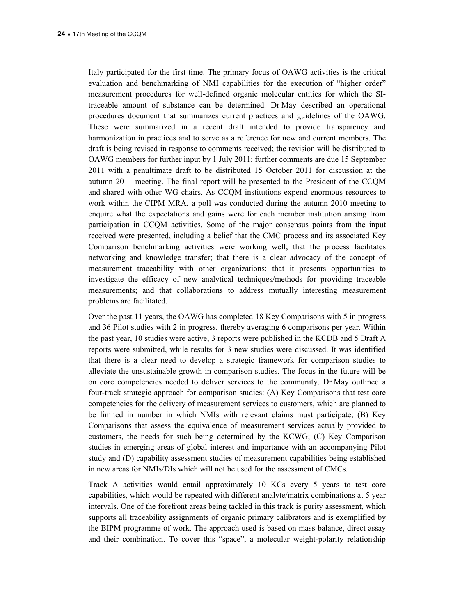Italy participated for the first time. The primary focus of OAWG activities is the critical evaluation and benchmarking of NMI capabilities for the execution of "higher order" measurement procedures for well-defined organic molecular entities for which the SItraceable amount of substance can be determined. Dr May described an operational procedures document that summarizes current practices and guidelines of the OAWG. These were summarized in a recent draft intended to provide transparency and harmonization in practices and to serve as a reference for new and current members. The draft is being revised in response to comments received; the revision will be distributed to OAWG members for further input by 1 July 2011; further comments are due 15 September 2011 with a penultimate draft to be distributed 15 October 2011 for discussion at the autumn 2011 meeting. The final report will be presented to the President of the CCQM and shared with other WG chairs. As CCQM institutions expend enormous resources to work within the CIPM MRA, a poll was conducted during the autumn 2010 meeting to enquire what the expectations and gains were for each member institution arising from participation in CCQM activities. Some of the major consensus points from the input received were presented, including a belief that the CMC process and its associated Key Comparison benchmarking activities were working well; that the process facilitates networking and knowledge transfer; that there is a clear advocacy of the concept of measurement traceability with other organizations; that it presents opportunities to investigate the efficacy of new analytical techniques/methods for providing traceable measurements; and that collaborations to address mutually interesting measurement problems are facilitated.

Over the past 11 years, the OAWG has completed 18 Key Comparisons with 5 in progress and 36 Pilot studies with 2 in progress, thereby averaging 6 comparisons per year. Within the past year, 10 studies were active, 3 reports were published in the KCDB and 5 Draft A reports were submitted, while results for 3 new studies were discussed. It was identified that there is a clear need to develop a strategic framework for comparison studies to alleviate the unsustainable growth in comparison studies. The focus in the future will be on core competencies needed to deliver services to the community. Dr May outlined a four-track strategic approach for comparison studies: (A) Key Comparisons that test core competencies for the delivery of measurement services to customers, which are planned to be limited in number in which NMIs with relevant claims must participate; (B) Key Comparisons that assess the equivalence of measurement services actually provided to customers, the needs for such being determined by the KCWG; (C) Key Comparison studies in emerging areas of global interest and importance with an accompanying Pilot study and (D) capability assessment studies of measurement capabilities being established in new areas for NMIs/DIs which will not be used for the assessment of CMCs.

Track A activities would entail approximately 10 KCs every 5 years to test core capabilities, which would be repeated with different analyte/matrix combinations at 5 year intervals. One of the forefront areas being tackled in this track is purity assessment, which supports all traceability assignments of organic primary calibrators and is exemplified by the BIPM programme of work. The approach used is based on mass balance, direct assay and their combination. To cover this "space", a molecular weight-polarity relationship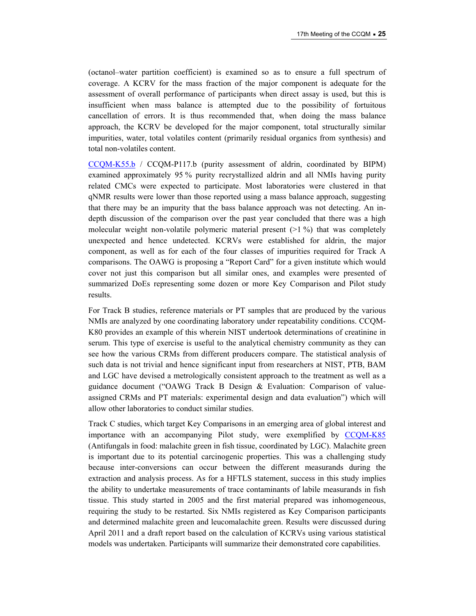(octanol–water partition coefficient) is examined so as to ensure a full spectrum of coverage. A KCRV for the mass fraction of the major component is adequate for the assessment of overall performance of participants when direct assay is used, but this is insufficient when mass balance is attempted due to the possibility of fortuitous cancellation of errors. It is thus recommended that, when doing the mass balance approach, the KCRV be developed for the major component, total structurally similar impurities, water, total volatiles content (primarily residual organics from synthesis) and total non-volatiles content.

[CCQM-K55.b](http://kcdb.bipm.org/appendixB/KCDB_ApB_info.asp?cmp_idy=1071&cmp_cod=CCQM-K55.b&prov=exalead) / CCQM-P117.b (purity assessment of aldrin, coordinated by BIPM) examined approximately 95 % purity recrystallized aldrin and all NMIs having purity related CMCs were expected to participate. Most laboratories were clustered in that qNMR results were lower than those reported using a mass balance approach, suggesting that there may be an impurity that the bass balance approach was not detecting. An indepth discussion of the comparison over the past year concluded that there was a high molecular weight non-volatile polymeric material present  $(>1\%)$  that was completely unexpected and hence undetected. KCRVs were established for aldrin, the major component, as well as for each of the four classes of impurities required for Track A comparisons. The OAWG is proposing a "Report Card" for a given institute which would cover not just this comparison but all similar ones, and examples were presented of summarized DoEs representing some dozen or more Key Comparison and Pilot study results.

For Track B studies, reference materials or PT samples that are produced by the various NMIs are analyzed by one coordinating laboratory under repeatability conditions. CCQM-K80 provides an example of this wherein NIST undertook determinations of creatinine in serum. This type of exercise is useful to the analytical chemistry community as they can see how the various CRMs from different producers compare. The statistical analysis of such data is not trivial and hence significant input from researchers at NIST, PTB, BAM and LGC have devised a metrologically consistent approach to the treatment as well as a guidance document ("OAWG Track B Design & Evaluation: Comparison of valueassigned CRMs and PT materials: experimental design and data evaluation") which will allow other laboratories to conduct similar studies.

Track C studies, which target Key Comparisons in an emerging area of global interest and importance with an accompanying Pilot study, were exemplified by [CCQM-K85](http://kcdb.bipm.org/appendixB/KCDB_ApB_info.asp?cmp_idy=1078&cmp_cod=CCQM-K85&prov=exalead) (Antifungals in food: malachite green in fish tissue, coordinated by LGC). Malachite green is important due to its potential carcinogenic properties. This was a challenging study because inter-conversions can occur between the different measurands during the extraction and analysis process. As for a HFTLS statement, success in this study implies the ability to undertake measurements of trace contaminants of labile measurands in fish tissue. This study started in 2005 and the first material prepared was inhomogeneous, requiring the study to be restarted. Six NMIs registered as Key Comparison participants and determined malachite green and leucomalachite green. Results were discussed during April 2011 and a draft report based on the calculation of KCRVs using various statistical models was undertaken. Participants will summarize their demonstrated core capabilities.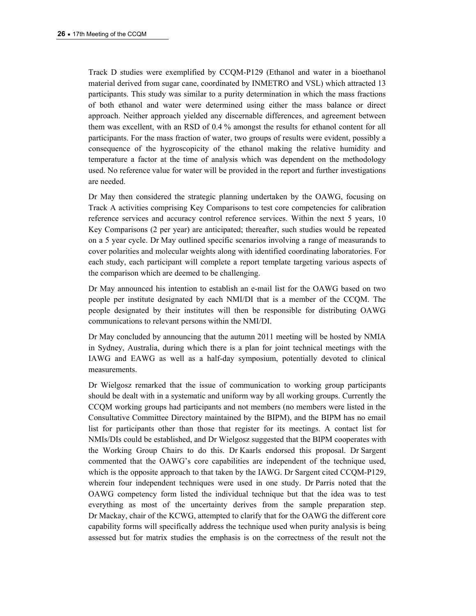Track D studies were exemplified by CCQM-P129 (Ethanol and water in a bioethanol material derived from sugar cane, coordinated by INMETRO and VSL) which attracted 13 participants. This study was similar to a purity determination in which the mass fractions of both ethanol and water were determined using either the mass balance or direct approach. Neither approach yielded any discernable differences, and agreement between them was excellent, with an RSD of 0.4 % amongst the results for ethanol content for all participants. For the mass fraction of water, two groups of results were evident, possibly a consequence of the hygroscopicity of the ethanol making the relative humidity and temperature a factor at the time of analysis which was dependent on the methodology used. No reference value for water will be provided in the report and further investigations are needed.

Dr May then considered the strategic planning undertaken by the OAWG, focusing on Track A activities comprising Key Comparisons to test core competencies for calibration reference services and accuracy control reference services. Within the next 5 years, 10 Key Comparisons (2 per year) are anticipated; thereafter, such studies would be repeated on a 5 year cycle. Dr May outlined specific scenarios involving a range of measurands to cover polarities and molecular weights along with identified coordinating laboratories. For each study, each participant will complete a report template targeting various aspects of the comparison which are deemed to be challenging.

Dr May announced his intention to establish an e-mail list for the OAWG based on two people per institute designated by each NMI/DI that is a member of the CCQM. The people designated by their institutes will then be responsible for distributing OAWG communications to relevant persons within the NMI/DI.

Dr May concluded by announcing that the autumn 2011 meeting will be hosted by NMIA in Sydney, Australia, during which there is a plan for joint technical meetings with the IAWG and EAWG as well as a half-day symposium, potentially devoted to clinical measurements.

Dr Wielgosz remarked that the issue of communication to working group participants should be dealt with in a systematic and uniform way by all working groups. Currently the CCQM working groups had participants and not members (no members were listed in the Consultative Committee Directory maintained by the BIPM), and the BIPM has no email list for participants other than those that register for its meetings. A contact list for NMIs/DIs could be established, and Dr Wielgosz suggested that the BIPM cooperates with the Working Group Chairs to do this. Dr Kaarls endorsed this proposal. Dr Sargent commented that the OAWG's core capabilities are independent of the technique used, which is the opposite approach to that taken by the IAWG. Dr Sargent cited CCQM-P129, wherein four independent techniques were used in one study. Dr Parris noted that the OAWG competency form listed the individual technique but that the idea was to test everything as most of the uncertainty derives from the sample preparation step. Dr Mackay, chair of the KCWG, attempted to clarify that for the OAWG the different core capability forms will specifically address the technique used when purity analysis is being assessed but for matrix studies the emphasis is on the correctness of the result not the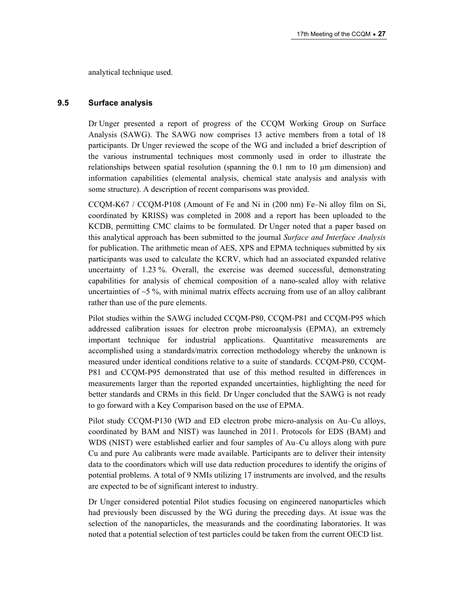analytical technique used.

### **9.5 Surface analysis**

Dr Unger presented a report of progress of the CCQM Working Group on Surface Analysis (SAWG). The SAWG now comprises 13 active members from a total of 18 participants. Dr Unger reviewed the scope of the WG and included a brief description of the various instrumental techniques most commonly used in order to illustrate the relationships between spatial resolution (spanning the  $0.1 \text{ nm}$  to  $10 \mu \text{m}$  dimension) and information capabilities (elemental analysis, chemical state analysis and analysis with some structure). A description of recent comparisons was provided.

CCQM-K67 / CCQM-P108 (Amount of Fe and Ni in (200 nm) Fe–Ni alloy film on Si, coordinated by KRISS) was completed in 2008 and a report has been uploaded to the KCDB, permitting CMC claims to be formulated. Dr Unger noted that a paper based on this analytical approach has been submitted to the journal *Surface and Interface Analysis* for publication. The arithmetic mean of AES, XPS and EPMA techniques submitted by six participants was used to calculate the KCRV, which had an associated expanded relative uncertainty of 1.23 %. Overall, the exercise was deemed successful, demonstrating capabilities for analysis of chemical composition of a nano-scaled alloy with relative uncertainties of  $\sim$ 5 %, with minimal matrix effects accruing from use of an alloy calibrant rather than use of the pure elements.

Pilot studies within the SAWG included CCQM-P80, CCQM-P81 and CCQM-P95 which addressed calibration issues for electron probe microanalysis (EPMA), an extremely important technique for industrial applications. Quantitative measurements are accomplished using a standards/matrix correction methodology whereby the unknown is measured under identical conditions relative to a suite of standards. CCQM-P80, CCQM-P81 and CCQM-P95 demonstrated that use of this method resulted in differences in measurements larger than the reported expanded uncertainties, highlighting the need for better standards and CRMs in this field. Dr Unger concluded that the SAWG is not ready to go forward with a Key Comparison based on the use of EPMA.

Pilot study CCQM-P130 (WD and ED electron probe micro-analysis on Au–Cu alloys, coordinated by BAM and NIST) was launched in 2011. Protocols for EDS (BAM) and WDS (NIST) were established earlier and four samples of Au–Cu alloys along with pure Cu and pure Au calibrants were made available. Participants are to deliver their intensity data to the coordinators which will use data reduction procedures to identify the origins of potential problems. A total of 9 NMIs utilizing 17 instruments are involved, and the results are expected to be of significant interest to industry.

Dr Unger considered potential Pilot studies focusing on engineered nanoparticles which had previously been discussed by the WG during the preceding days. At issue was the selection of the nanoparticles, the measurands and the coordinating laboratories. It was noted that a potential selection of test particles could be taken from the current OECD list.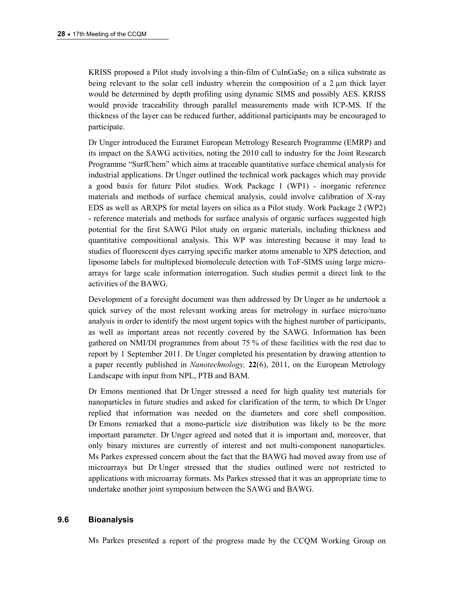KRISS proposed a Pilot study involving a thin-film of CuInGaSe $_2$  on a silica substrate as being relevant to the solar cell industry wherein the composition of a  $2 \mu m$  thick layer would be determined by depth profiling using dynamic SIMS and possibly AES. KRISS would provide traceability through parallel measurements made with ICP-MS. If the thickness of the layer can be reduced further, additional participants may be encouraged to participate.

Dr Unger introduced the Euramet European Metrology Research Programme (EMRP) and its impact on the SAWG activities, noting the 2010 call to industry for the Joint Research Programme "SurfChem" which aims at traceable quantitative surface chemical analysis for industrial applications. Dr Unger outlined the technical work packages which may provide a good basis for future Pilot studies. Work Package 1 (WP1) - inorganic reference materials and methods of surface chemical analysis, could involve calibration of X-ray EDS as well as ARXPS for metal layers on silica as a Pilot study. Work Package 2 (WP2) - reference materials and methods for surface analysis of organic surfaces suggested high potential for the first SAWG Pilot study on organic materials, including thickness and quantitative compositional analysis. This WP was interesting because it may lead to studies of fluorescent dyes carrying specific marker atoms amenable to XPS detection, and liposome labels for multiplexed biomolecule detection with ToF-SIMS using large microarrays for large scale information interrogation. Such studies permit a direct link to the activities of the BAWG.

Development of a foresight document was then addressed by Dr Unger as he undertook a quick survey of the most relevant working areas for metrology in surface micro/nano analysis in order to identify the most urgent topics with the highest number of participants, as well as important areas not recently covered by the SAWG. Information has been gathered on NMI/DI programmes from about 75 % of these facilities with the rest due to report by 1 September 2011. Dr Unger completed his presentation by drawing attention to a paper recently published in *Nanotechnology,* **22**(6), 2011, on the European Metrology Landscape with input from NPL, PTB and BAM.

Dr Emons mentioned that Dr Unger stressed a need for high quality test materials for nanoparticles in future studies and asked for clarification of the term, to which Dr Unger replied that information was needed on the diameters and core shell composition. Dr Emons remarked that a mono-particle size distribution was likely to be the more important parameter. Dr Unger agreed and noted that it is important and, moreover, that only binary mixtures are currently of interest and not multi-component nanoparticles. Ms Parkes expressed concern about the fact that the BAWG had moved away from use of microarrays but Dr Unger stressed that the studies outlined were not restricted to applications with microarray formats. Ms Parkes stressed that it was an appropriate time to undertake another joint symposium between the SAWG and BAWG.

### **9.6 Bioanalysis**

Ms Parkes presented a report of the progress made by the CCQM Working Group on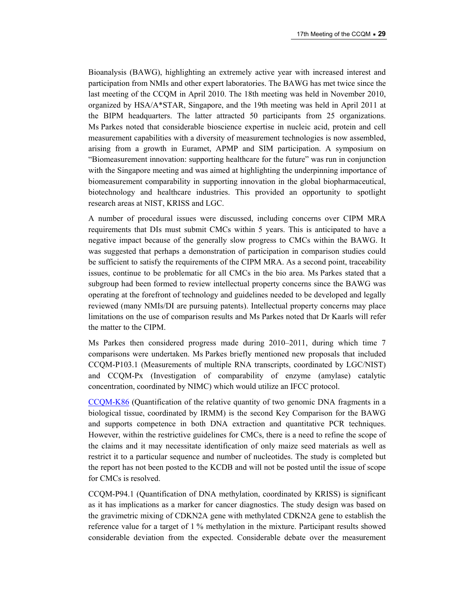Bioanalysis (BAWG), highlighting an extremely active year with increased interest and participation from NMIs and other expert laboratories. The BAWG has met twice since the last meeting of the CCQM in April 2010. The 18th meeting was held in November 2010, organized by HSA/A\*STAR, Singapore, and the 19th meeting was held in April 2011 at the BIPM headquarters. The latter attracted 50 participants from 25 organizations. Ms Parkes noted that considerable bioscience expertise in nucleic acid, protein and cell measurement capabilities with a diversity of measurement technologies is now assembled, arising from a growth in Euramet, APMP and SIM participation. A symposium on "Biomeasurement innovation: supporting healthcare for the future" was run in conjunction with the Singapore meeting and was aimed at highlighting the underpinning importance of biomeasurement comparability in supporting innovation in the global biopharmaceutical, biotechnology and healthcare industries. This provided an opportunity to spotlight research areas at NIST, KRISS and LGC.

A number of procedural issues were discussed, including concerns over CIPM MRA requirements that DIs must submit CMCs within 5 years. This is anticipated to have a negative impact because of the generally slow progress to CMCs within the BAWG. It was suggested that perhaps a demonstration of participation in comparison studies could be sufficient to satisfy the requirements of the CIPM MRA. As a second point, traceability issues, continue to be problematic for all CMCs in the bio area. Ms Parkes stated that a subgroup had been formed to review intellectual property concerns since the BAWG was operating at the forefront of technology and guidelines needed to be developed and legally reviewed (many NMIs/DI are pursuing patents). Intellectual property concerns may place limitations on the use of comparison results and Ms Parkes noted that Dr Kaarls will refer the matter to the CIPM.

Ms Parkes then considered progress made during 2010–2011, during which time 7 comparisons were undertaken. Ms Parkes briefly mentioned new proposals that included CCQM-P103.1 (Measurements of multiple RNA transcripts, coordinated by LGC/NIST) and CCQM-Px (Investigation of comparability of enzyme (amylase) catalytic concentration, coordinated by NIMC) which would utilize an IFCC protocol.

[CCQM-K86](http://kcdb.bipm.org/appendixB/KCDB_ApB_info.asp?cmp_idy=1079&cmp_cod=CCQM-K86&prov=exalead) (Quantification of the relative quantity of two genomic DNA fragments in a biological tissue, coordinated by IRMM) is the second Key Comparison for the BAWG and supports competence in both DNA extraction and quantitative PCR techniques. However, within the restrictive guidelines for CMCs, there is a need to refine the scope of the claims and it may necessitate identification of only maize seed materials as well as restrict it to a particular sequence and number of nucleotides. The study is completed but the report has not been posted to the KCDB and will not be posted until the issue of scope for CMCs is resolved.

CCQM-P94.1 (Quantification of DNA methylation, coordinated by KRISS) is significant as it has implications as a marker for cancer diagnostics. The study design was based on the gravimetric mixing of CDKN2A gene with methylated CDKN2A gene to establish the reference value for a target of 1 % methylation in the mixture. Participant results showed considerable deviation from the expected. Considerable debate over the measurement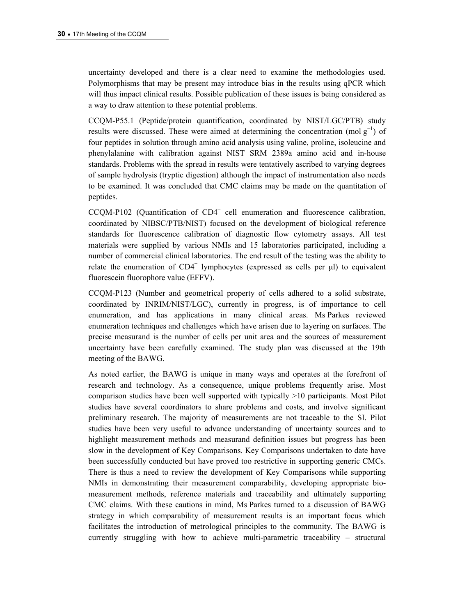uncertainty developed and there is a clear need to examine the methodologies used. Polymorphisms that may be present may introduce bias in the results using qPCR which will thus impact clinical results. Possible publication of these issues is being considered as a way to draw attention to these potential problems.

CCQM-P55.1 (Peptide/protein quantification, coordinated by NIST/LGC/PTB) study results were discussed. These were aimed at determining the concentration (mol  $g^{-1}$ ) of four peptides in solution through amino acid analysis using valine, proline, isoleucine and phenylalanine with calibration against NIST SRM 2389a amino acid and in-house standards. Problems with the spread in results were tentatively ascribed to varying degrees of sample hydrolysis (tryptic digestion) although the impact of instrumentation also needs to be examined. It was concluded that CMC claims may be made on the quantitation of peptides.

 $CCQM-P102$  (Quantification of  $CD4^+$  cell enumeration and fluorescence calibration, coordinated by NIBSC/PTB/NIST) focused on the development of biological reference standards for fluorescence calibration of diagnostic flow cytometry assays. All test materials were supplied by various NMIs and 15 laboratories participated, including a number of commercial clinical laboratories. The end result of the testing was the ability to relate the enumeration of  $CD4^+$  lymphocytes (expressed as cells per  $\mu$ l) to equivalent fluorescein fluorophore value (EFFV).

CCQM-P123 (Number and geometrical property of cells adhered to a solid substrate, coordinated by INRIM/NIST/LGC), currently in progress, is of importance to cell enumeration, and has applications in many clinical areas. Ms Parkes reviewed enumeration techniques and challenges which have arisen due to layering on surfaces. The precise measurand is the number of cells per unit area and the sources of measurement uncertainty have been carefully examined. The study plan was discussed at the 19th meeting of the BAWG.

As noted earlier, the BAWG is unique in many ways and operates at the forefront of research and technology. As a consequence, unique problems frequently arise. Most comparison studies have been well supported with typically >10 participants. Most Pilot studies have several coordinators to share problems and costs, and involve significant preliminary research. The majority of measurements are not traceable to the SI. Pilot studies have been very useful to advance understanding of uncertainty sources and to highlight measurement methods and measurand definition issues but progress has been slow in the development of Key Comparisons. Key Comparisons undertaken to date have been successfully conducted but have proved too restrictive in supporting generic CMCs. There is thus a need to review the development of Key Comparisons while supporting NMIs in demonstrating their measurement comparability, developing appropriate biomeasurement methods, reference materials and traceability and ultimately supporting CMC claims. With these cautions in mind, Ms Parkes turned to a discussion of BAWG strategy in which comparability of measurement results is an important focus which facilitates the introduction of metrological principles to the community. The BAWG is currently struggling with how to achieve multi-parametric traceability – structural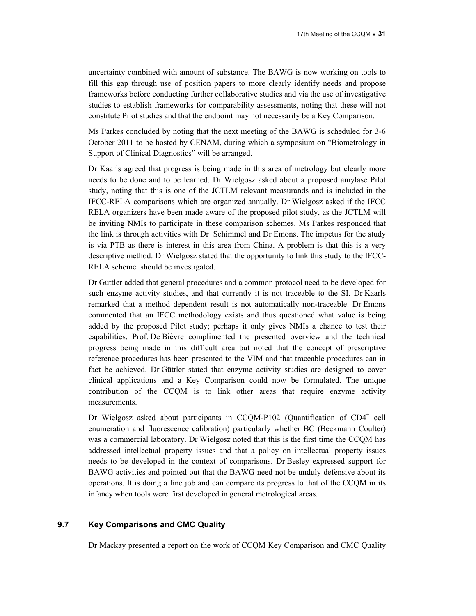uncertainty combined with amount of substance. The BAWG is now working on tools to fill this gap through use of position papers to more clearly identify needs and propose frameworks before conducting further collaborative studies and via the use of investigative studies to establish frameworks for comparability assessments, noting that these will not constitute Pilot studies and that the endpoint may not necessarily be a Key Comparison.

Ms Parkes concluded by noting that the next meeting of the BAWG is scheduled for 3-6 October 2011 to be hosted by CENAM, during which a symposium on "Biometrology in Support of Clinical Diagnostics" will be arranged.

Dr Kaarls agreed that progress is being made in this area of metrology but clearly more needs to be done and to be learned. Dr Wielgosz asked about a proposed amylase Pilot study, noting that this is one of the JCTLM relevant measurands and is included in the IFCC-RELA comparisons which are organized annually. Dr Wielgosz asked if the IFCC RELA organizers have been made aware of the proposed pilot study, as the JCTLM will be inviting NMIs to participate in these comparison schemes. Ms Parkes responded that the link is through activities with Dr Schimmel and Dr Emons. The impetus for the study is via PTB as there is interest in this area from China. A problem is that this is a very descriptive method. Dr Wielgosz stated that the opportunity to link this study to the IFCC-RELA scheme should be investigated.

Dr Güttler added that general procedures and a common protocol need to be developed for such enzyme activity studies, and that currently it is not traceable to the SI. Dr Kaarls remarked that a method dependent result is not automatically non-traceable. Dr Emons commented that an IFCC methodology exists and thus questioned what value is being added by the proposed Pilot study; perhaps it only gives NMIs a chance to test their capabilities. Prof. De Bièvre complimented the presented overview and the technical progress being made in this difficult area but noted that the concept of prescriptive reference procedures has been presented to the VIM and that traceable procedures can in fact be achieved. Dr Güttler stated that enzyme activity studies are designed to cover clinical applications and a Key Comparison could now be formulated. The unique contribution of the CCQM is to link other areas that require enzyme activity measurements.

Dr Wielgosz asked about participants in CCQM-P102 (Quantification of CD4<sup>+</sup> cell enumeration and fluorescence calibration) particularly whether BC (Beckmann Coulter) was a commercial laboratory. Dr Wielgosz noted that this is the first time the CCQM has addressed intellectual property issues and that a policy on intellectual property issues needs to be developed in the context of comparisons. Dr Besley expressed support for BAWG activities and pointed out that the BAWG need not be unduly defensive about its operations. It is doing a fine job and can compare its progress to that of the CCQM in its infancy when tools were first developed in general metrological areas.

#### **9.7 Key Comparisons and CMC Quality**

Dr Mackay presented a report on the work of CCQM Key Comparison and CMC Quality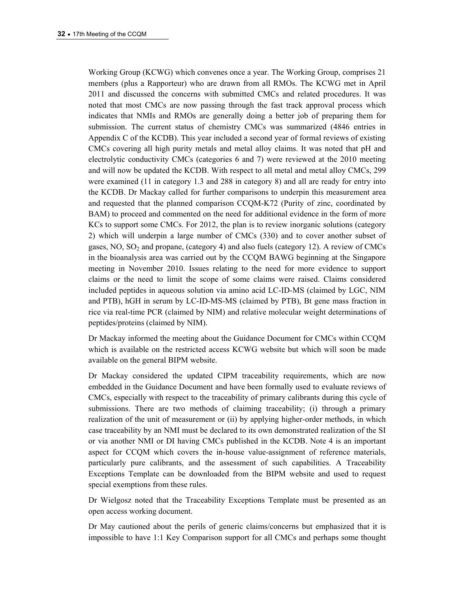Working Group (KCWG) which convenes once a year. The Working Group, comprises 21 members (plus a Rapporteur) who are drawn from all RMOs. The KCWG met in April 2011 and discussed the concerns with submitted CMCs and related procedures. It was noted that most CMCs are now passing through the fast track approval process which indicates that NMIs and RMOs are generally doing a better job of preparing them for submission. The current status of chemistry CMCs was summarized (4846 entries in Appendix C of the KCDB). This year included a second year of formal reviews of existing CMCs covering all high purity metals and metal alloy claims. It was noted that pH and electrolytic conductivity CMCs (categories 6 and 7) were reviewed at the 2010 meeting and will now be updated the KCDB. With respect to all metal and metal alloy CMCs, 299 were examined (11 in category 1.3 and 288 in category 8) and all are ready for entry into the KCDB. Dr Mackay called for further comparisons to underpin this measurement area and requested that the planned comparison CCQM-K72 (Purity of zinc, coordinated by BAM) to proceed and commented on the need for additional evidence in the form of more KCs to support some CMCs. For 2012, the plan is to review inorganic solutions (category 2) which will underpin a large number of CMCs (330) and to cover another subset of gases,  $NO$ ,  $SO<sub>2</sub>$  and propane, (category 4) and also fuels (category 12). A review of CMCs in the bioanalysis area was carried out by the CCQM BAWG beginning at the Singapore meeting in November 2010. Issues relating to the need for more evidence to support claims or the need to limit the scope of some claims were raised. Claims considered included peptides in aqueous solution via amino acid LC-ID-MS (claimed by LGC, NIM and PTB), hGH in serum by LC-ID-MS-MS (claimed by PTB), Bt gene mass fraction in rice via real-time PCR (claimed by NIM) and relative molecular weight determinations of peptides/proteins (claimed by NIM).

Dr Mackay informed the meeting about the Guidance Document for CMCs within CCQM which is available on the restricted access KCWG website but which will soon be made available on the general BIPM website.

Dr Mackay considered the updated CIPM traceability requirements, which are now embedded in the Guidance Document and have been formally used to evaluate reviews of CMCs, especially with respect to the traceability of primary calibrants during this cycle of submissions. There are two methods of claiming traceability; (i) through a primary realization of the unit of measurement or (ii) by applying higher-order methods, in which case traceability by an NMI must be declared to its own demonstrated realization of the SI or via another NMI or DI having CMCs published in the KCDB. Note 4 is an important aspect for CCQM which covers the in-house value-assignment of reference materials, particularly pure calibrants, and the assessment of such capabilities. A Traceability Exceptions Template can be downloaded from the BIPM website and used to request special exemptions from these rules.

Dr Wielgosz noted that the Traceability Exceptions Template must be presented as an open access working document.

Dr May cautioned about the perils of generic claims/concerns but emphasized that it is impossible to have 1:1 Key Comparison support for all CMCs and perhaps some thought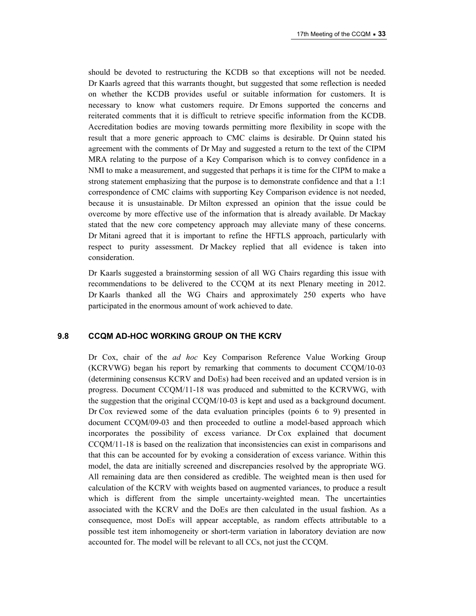should be devoted to restructuring the KCDB so that exceptions will not be needed. Dr Kaarls agreed that this warrants thought, but suggested that some reflection is needed on whether the KCDB provides useful or suitable information for customers. It is necessary to know what customers require. Dr Emons supported the concerns and reiterated comments that it is difficult to retrieve specific information from the KCDB. Accreditation bodies are moving towards permitting more flexibility in scope with the result that a more generic approach to CMC claims is desirable. Dr Quinn stated his agreement with the comments of Dr May and suggested a return to the text of the CIPM MRA relating to the purpose of a Key Comparison which is to convey confidence in a NMI to make a measurement, and suggested that perhaps it is time for the CIPM to make a strong statement emphasizing that the purpose is to demonstrate confidence and that a 1:1 correspondence of CMC claims with supporting Key Comparison evidence is not needed, because it is unsustainable. Dr Milton expressed an opinion that the issue could be overcome by more effective use of the information that is already available. Dr Mackay stated that the new core competency approach may alleviate many of these concerns. Dr Mitani agreed that it is important to refine the HFTLS approach, particularly with respect to purity assessment. Dr Mackey replied that all evidence is taken into consideration.

Dr Kaarls suggested a brainstorming session of all WG Chairs regarding this issue with recommendations to be delivered to the CCQM at its next Plenary meeting in 2012. Dr Kaarls thanked all the WG Chairs and approximately 250 experts who have participated in the enormous amount of work achieved to date.

#### **9.8 CCQM AD-HOC WORKING GROUP ON THE KCRV**

Dr Cox, chair of the *ad hoc* Key Comparison Reference Value Working Group (KCRVWG) began his report by remarking that comments to document CCQM/10-03 (determining consensus KCRV and DoEs) had been received and an updated version is in progress. Document CCQM/11-18 was produced and submitted to the KCRVWG, with the suggestion that the original CCQM/10-03 is kept and used as a background document. Dr Cox reviewed some of the data evaluation principles (points 6 to 9) presented in document CCQM/09-03 and then proceeded to outline a model-based approach which incorporates the possibility of excess variance. Dr Cox explained that document CCQM/11-18 is based on the realization that inconsistencies can exist in comparisons and that this can be accounted for by evoking a consideration of excess variance. Within this model, the data are initially screened and discrepancies resolved by the appropriate WG. All remaining data are then considered as credible. The weighted mean is then used for calculation of the KCRV with weights based on augmented variances, to produce a result which is different from the simple uncertainty-weighted mean. The uncertainties associated with the KCRV and the DoEs are then calculated in the usual fashion. As a consequence, most DoEs will appear acceptable, as random effects attributable to a possible test item inhomogeneity or short-term variation in laboratory deviation are now accounted for. The model will be relevant to all CCs, not just the CCQM.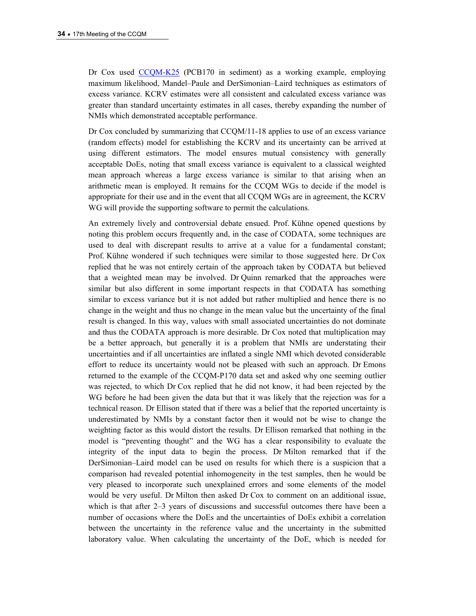Dr Cox used [CCQM-K25](http://kcdb.bipm.org/appendixB/KCDB_ApB_info.asp?cmp_idy=176&cmp_cod=CCQM-K25&prov=exalead) (PCB170 in sediment) as a working example, employing maximum likelihood, Mandel–Paule and DerSimonian–Laird techniques as estimators of excess variance. KCRV estimates were all consistent and calculated excess variance was greater than standard uncertainty estimates in all cases, thereby expanding the number of NMIs which demonstrated acceptable performance.

Dr Cox concluded by summarizing that CCQM/11-18 applies to use of an excess variance (random effects) model for establishing the KCRV and its uncertainty can be arrived at using different estimators. The model ensures mutual consistency with generally acceptable DoEs, noting that small excess variance is equivalent to a classical weighted mean approach whereas a large excess variance is similar to that arising when an arithmetic mean is employed. It remains for the CCQM WGs to decide if the model is appropriate for their use and in the event that all CCQM WGs are in agreement, the KCRV WG will provide the supporting software to permit the calculations.

An extremely lively and controversial debate ensued. Prof. Kühne opened questions by noting this problem occurs frequently and, in the case of CODATA, some techniques are used to deal with discrepant results to arrive at a value for a fundamental constant; Prof. Kühne wondered if such techniques were similar to those suggested here. Dr Cox replied that he was not entirely certain of the approach taken by CODATA but believed that a weighted mean may be involved. Dr Quinn remarked that the approaches were similar but also different in some important respects in that CODATA has something similar to excess variance but it is not added but rather multiplied and hence there is no change in the weight and thus no change in the mean value but the uncertainty of the final result is changed. In this way, values with small associated uncertainties do not dominate and thus the CODATA approach is more desirable. Dr Cox noted that multiplication may be a better approach, but generally it is a problem that NMIs are understating their uncertainties and if all uncertainties are inflated a single NMI which devoted considerable effort to reduce its uncertainty would not be pleased with such an approach. Dr Emons returned to the example of the CCQM-P170 data set and asked why one seeming outlier was rejected, to which Dr Cox replied that he did not know, it had been rejected by the WG before he had been given the data but that it was likely that the rejection was for a technical reason. Dr Ellison stated that if there was a belief that the reported uncertainty is underestimated by NMIs by a constant factor then it would not be wise to change the weighting factor as this would distort the results. Dr Ellison remarked that nothing in the model is "preventing thought" and the WG has a clear responsibility to evaluate the integrity of the input data to begin the process. Dr Milton remarked that if the DerSimonian–Laird model can be used on results for which there is a suspicion that a comparison had revealed potential inhomogeneity in the test samples, then he would be very pleased to incorporate such unexplained errors and some elements of the model would be very useful. Dr Milton then asked Dr Cox to comment on an additional issue, which is that after 2–3 years of discussions and successful outcomes there have been a number of occasions where the DoEs and the uncertainties of DoEs exhibit a correlation between the uncertainty in the reference value and the uncertainty in the submitted laboratory value. When calculating the uncertainty of the DoE, which is needed for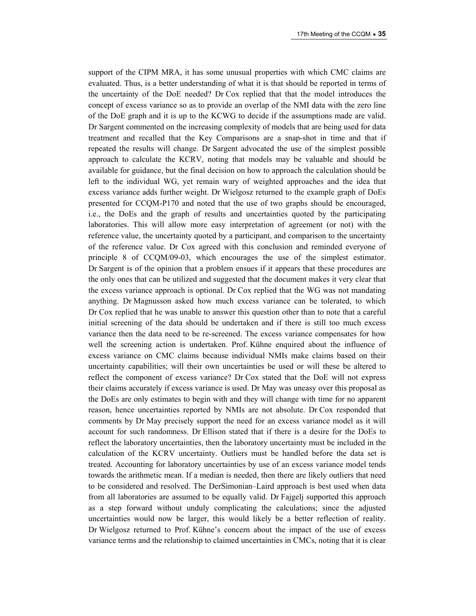support of the CIPM MRA, it has some unusual properties with which CMC claims are evaluated. Thus, is a better understanding of what it is that should be reported in terms of the uncertainty of the DoE needed? Dr Cox replied that that the model introduces the concept of excess variance so as to provide an overlap of the NMI data with the zero line of the DoE graph and it is up to the KCWG to decide if the assumptions made are valid. Dr Sargent commented on the increasing complexity of models that are being used for data treatment and recalled that the Key Comparisons are a snap-shot in time and that if repeated the results will change. Dr Sargent advocated the use of the simplest possible approach to calculate the KCRV, noting that models may be valuable and should be available for guidance, but the final decision on how to approach the calculation should be left to the individual WG, yet remain wary of weighted approaches and the idea that excess variance adds further weight. Dr Wielgosz returned to the example graph of DoEs presented for CCQM-P170 and noted that the use of two graphs should be encouraged, i.e., the DoEs and the graph of results and uncertainties quoted by the participating laboratories. This will allow more easy interpretation of agreement (or not) with the reference value, the uncertainty quoted by a participant, and comparison to the uncertainty of the reference value. Dr Cox agreed with this conclusion and reminded everyone of principle 8 of CCQM/09-03, which encourages the use of the simplest estimator. Dr Sargent is of the opinion that a problem ensues if it appears that these procedures are the only ones that can be utilized and suggested that the document makes it very clear that the excess variance approach is optional. Dr Cox replied that the WG was not mandating anything. Dr Magnusson asked how much excess variance can be tolerated, to which Dr Cox replied that he was unable to answer this question other than to note that a careful initial screening of the data should be undertaken and if there is still too much excess variance then the data need to be re-screened. The excess variance compensates for how well the screening action is undertaken. Prof. Kühne enquired about the influence of excess variance on CMC claims because individual NMIs make claims based on their uncertainty capabilities; will their own uncertainties be used or will these be altered to reflect the component of excess variance? Dr Cox stated that the DoE will not express their claims accurately if excess variance is used. Dr May was uneasy over this proposal as the DoEs are only estimates to begin with and they will change with time for no apparent reason, hence uncertainties reported by NMIs are not absolute. Dr Cox responded that comments by Dr May precisely support the need for an excess variance model as it will account for such randomness. Dr Ellison stated that if there is a desire for the DoEs to reflect the laboratory uncertainties, then the laboratory uncertainty must be included in the calculation of the KCRV uncertainty. Outliers must be handled before the data set is treated. Accounting for laboratory uncertainties by use of an excess variance model tends towards the arithmetic mean. If a median is needed, then there are likely outliers that need to be considered and resolved. The DerSimonian–Laird approach is best used when data from all laboratories are assumed to be equally valid. Dr Fajgelj supported this approach as a step forward without unduly complicating the calculations; since the adjusted uncertainties would now be larger, this would likely be a better reflection of reality. Dr Wielgosz returned to Prof. Kühne's concern about the impact of the use of excess variance terms and the relationship to claimed uncertainties in CMCs, noting that it is clear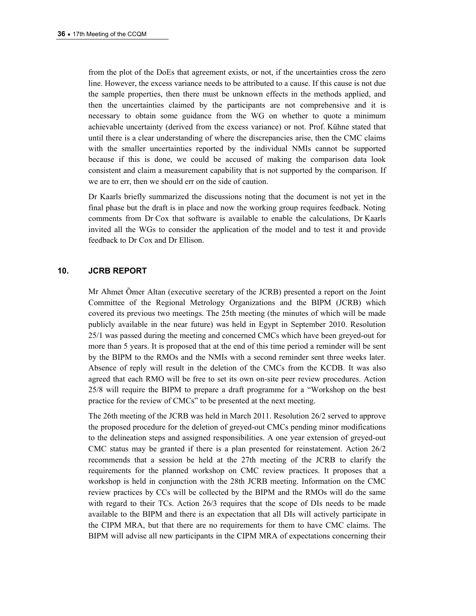from the plot of the DoEs that agreement exists, or not, if the uncertainties cross the zero line. However, the excess variance needs to be attributed to a cause. If this cause is not due the sample properties, then there must be unknown effects in the methods applied, and then the uncertainties claimed by the participants are not comprehensive and it is necessary to obtain some guidance from the WG on whether to quote a minimum achievable uncertainty (derived from the excess variance) or not. Prof. Kühne stated that until there is a clear understanding of where the discrepancies arise, then the CMC claims with the smaller uncertainties reported by the individual NMIs cannot be supported because if this is done, we could be accused of making the comparison data look consistent and claim a measurement capability that is not supported by the comparison. If we are to err, then we should err on the side of caution.

Dr Kaarls briefly summarized the discussions noting that the document is not yet in the final phase but the draft is in place and now the working group requires feedback. Noting comments from Dr Cox that software is available to enable the calculations, Dr Kaarls invited all the WGs to consider the application of the model and to test it and provide feedback to Dr Cox and Dr Ellison.

#### **10. JCRB REPORT**

Mr Ahmet Ömer Altan (executive secretary of the JCRB) presented a report on the Joint Committee of the Regional Metrology Organizations and the BIPM (JCRB) which covered its previous two meetings. The 25th meeting (the minutes of which will be made publicly available in the near future) was held in Egypt in September 2010. Resolution 25/1 was passed during the meeting and concerned CMCs which have been greyed-out for more than 5 years. It is proposed that at the end of this time period a reminder will be sent by the BIPM to the RMOs and the NMIs with a second reminder sent three weeks later. Absence of reply will result in the deletion of the CMCs from the KCDB. It was also agreed that each RMO will be free to set its own on-site peer review procedures. Action 25/8 will require the BIPM to prepare a draft programme for a "Workshop on the best practice for the review of CMCs" to be presented at the next meeting.

The 26th meeting of the JCRB was held in March 2011. Resolution 26/2 served to approve the proposed procedure for the deletion of greyed-out CMCs pending minor modifications to the delineation steps and assigned responsibilities. A one year extension of greyed-out CMC status may be granted if there is a plan presented for reinstatement. Action 26/2 recommends that a session be held at the 27th meeting of the JCRB to clarify the requirements for the planned workshop on CMC review practices. It proposes that a workshop is held in conjunction with the 28th JCRB meeting. Information on the CMC review practices by CCs will be collected by the BIPM and the RMOs will do the same with regard to their TCs. Action 26/3 requires that the scope of DIs needs to be made available to the BIPM and there is an expectation that all DIs will actively participate in the CIPM MRA, but that there are no requirements for them to have CMC claims. The BIPM will advise all new participants in the CIPM MRA of expectations concerning their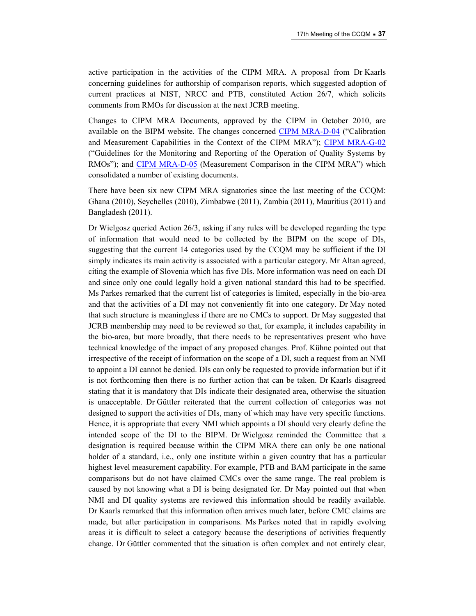active participation in the activities of the CIPM MRA. A proposal from Dr Kaarls concerning guidelines for authorship of comparison reports, which suggested adoption of current practices at NIST, NRCC and PTB, constituted Action 26/7, which solicits comments from RMOs for discussion at the next JCRB meeting.

Changes to CIPM MRA Documents, approved by the CIPM in October 2010, are available on the BIPM website. The changes concerned [CIPM MRA-D-04](https://www.bipm.org/utils/common/CIPM_MRA/CIPM_MRA-D-04.pdf) ("Calibration and Measurement Capabilities in the Context of the CIPM MRA"); [CIPM MRA-G-02](https://www.bipm.org/utils/common/CIPM_MRA/CIPM_MRA-G-02.pdf) ("Guidelines for the Monitoring and Reporting of the Operation of Quality Systems by RMOs"); and [CIPM MRA-D-05](https://www.bipm.org/utils/common/CIPM_MRA/CIPM_MRA-D-05.pdf) (Measurement Comparison in the CIPM MRA") which consolidated a number of existing documents.

There have been six new CIPM MRA signatories since the last meeting of the CCQM: Ghana (2010), Seychelles (2010), Zimbabwe (2011), Zambia (2011), Mauritius (2011) and Bangladesh (2011).

Dr Wielgosz queried Action 26/3, asking if any rules will be developed regarding the type of information that would need to be collected by the BIPM on the scope of DIs, suggesting that the current 14 categories used by the CCQM may be sufficient if the DI simply indicates its main activity is associated with a particular category. Mr Altan agreed, citing the example of Slovenia which has five DIs. More information was need on each DI and since only one could legally hold a given national standard this had to be specified. Ms Parkes remarked that the current list of categories is limited, especially in the bio-area and that the activities of a DI may not conveniently fit into one category. Dr May noted that such structure is meaningless if there are no CMCs to support. Dr May suggested that JCRB membership may need to be reviewed so that, for example, it includes capability in the bio-area, but more broadly, that there needs to be representatives present who have technical knowledge of the impact of any proposed changes. Prof. Kühne pointed out that irrespective of the receipt of information on the scope of a DI, such a request from an NMI to appoint a DI cannot be denied. DIs can only be requested to provide information but if it is not forthcoming then there is no further action that can be taken. Dr Kaarls disagreed stating that it is mandatory that DIs indicate their designated area, otherwise the situation is unacceptable. Dr Güttler reiterated that the current collection of categories was not designed to support the activities of DIs, many of which may have very specific functions. Hence, it is appropriate that every NMI which appoints a DI should very clearly define the intended scope of the DI to the BIPM. Dr Wielgosz reminded the Committee that a designation is required because within the CIPM MRA there can only be one national holder of a standard, i.e., only one institute within a given country that has a particular highest level measurement capability. For example, PTB and BAM participate in the same comparisons but do not have claimed CMCs over the same range. The real problem is caused by not knowing what a DI is being designated for. Dr May pointed out that when NMI and DI quality systems are reviewed this information should be readily available. Dr Kaarls remarked that this information often arrives much later, before CMC claims are made, but after participation in comparisons. Ms Parkes noted that in rapidly evolving areas it is difficult to select a category because the descriptions of activities frequently change. Dr Güttler commented that the situation is often complex and not entirely clear,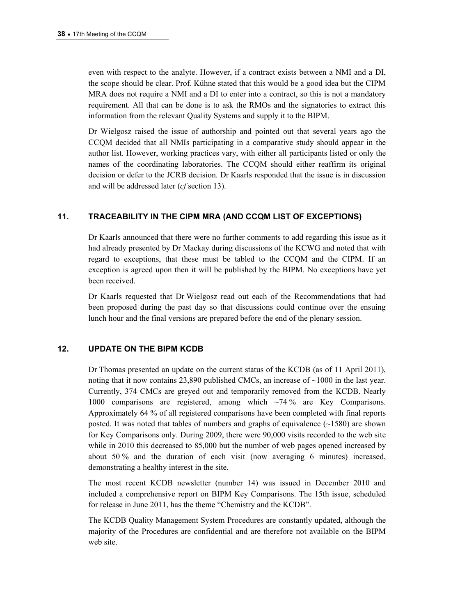even with respect to the analyte. However, if a contract exists between a NMI and a DI, the scope should be clear. Prof. Kühne stated that this would be a good idea but the CIPM MRA does not require a NMI and a DI to enter into a contract, so this is not a mandatory requirement. All that can be done is to ask the RMOs and the signatories to extract this information from the relevant Quality Systems and supply it to the BIPM.

Dr Wielgosz raised the issue of authorship and pointed out that several years ago the CCQM decided that all NMIs participating in a comparative study should appear in the author list. However, working practices vary, with either all participants listed or only the names of the coordinating laboratories. The CCQM should either reaffirm its original decision or defer to the JCRB decision. Dr Kaarls responded that the issue is in discussion and will be addressed later (*cf* section 13).

### **11. TRACEABILITY IN THE CIPM MRA (AND CCQM LIST OF EXCEPTIONS)**

Dr Kaarls announced that there were no further comments to add regarding this issue as it had already presented by Dr Mackay during discussions of the KCWG and noted that with regard to exceptions, that these must be tabled to the CCQM and the CIPM. If an exception is agreed upon then it will be published by the BIPM. No exceptions have yet been received.

Dr Kaarls requested that Dr Wielgosz read out each of the Recommendations that had been proposed during the past day so that discussions could continue over the ensuing lunch hour and the final versions are prepared before the end of the plenary session.

### **12. UPDATE ON THE BIPM KCDB**

Dr Thomas presented an update on the current status of the KCDB (as of 11 April 2011), noting that it now contains 23,890 published CMCs, an increase of ~1000 in the last year. Currently, 374 CMCs are greyed out and temporarily removed from the KCDB. Nearly 1000 comparisons are registered, among which ~74 % are Key Comparisons. Approximately 64 % of all registered comparisons have been completed with final reports posted. It was noted that tables of numbers and graphs of equivalence  $(\sim 1580)$  are shown for Key Comparisons only. During 2009, there were 90,000 visits recorded to the web site while in 2010 this decreased to 85,000 but the number of web pages opened increased by about 50 % and the duration of each visit (now averaging 6 minutes) increased, demonstrating a healthy interest in the site.

The most recent KCDB newsletter (number 14) was issued in December 2010 and included a comprehensive report on BIPM Key Comparisons. The 15th issue, scheduled for release in June 2011, has the theme "Chemistry and the KCDB".

The KCDB Quality Management System Procedures are constantly updated, although the majority of the Procedures are confidential and are therefore not available on the BIPM web site.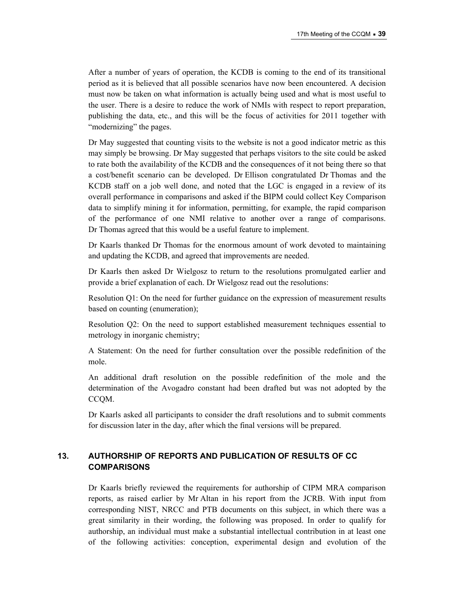After a number of years of operation, the KCDB is coming to the end of its transitional period as it is believed that all possible scenarios have now been encountered. A decision must now be taken on what information is actually being used and what is most useful to the user. There is a desire to reduce the work of NMIs with respect to report preparation, publishing the data, etc., and this will be the focus of activities for 2011 together with "modernizing" the pages.

Dr May suggested that counting visits to the website is not a good indicator metric as this may simply be browsing. Dr May suggested that perhaps visitors to the site could be asked to rate both the availability of the KCDB and the consequences of it not being there so that a cost/benefit scenario can be developed. Dr Ellison congratulated Dr Thomas and the KCDB staff on a job well done, and noted that the LGC is engaged in a review of its overall performance in comparisons and asked if the BIPM could collect Key Comparison data to simplify mining it for information, permitting, for example, the rapid comparison of the performance of one NMI relative to another over a range of comparisons. Dr Thomas agreed that this would be a useful feature to implement.

Dr Kaarls thanked Dr Thomas for the enormous amount of work devoted to maintaining and updating the KCDB, and agreed that improvements are needed.

Dr Kaarls then asked Dr Wielgosz to return to the resolutions promulgated earlier and provide a brief explanation of each. Dr Wielgosz read out the resolutions:

Resolution Q1: On the need for further guidance on the expression of measurement results based on counting (enumeration);

Resolution Q2: On the need to support established measurement techniques essential to metrology in inorganic chemistry;

A Statement: On the need for further consultation over the possible redefinition of the mole.

An additional draft resolution on the possible redefinition of the mole and the determination of the Avogadro constant had been drafted but was not adopted by the CCQM.

Dr Kaarls asked all participants to consider the draft resolutions and to submit comments for discussion later in the day, after which the final versions will be prepared.

### **13. AUTHORSHIP OF REPORTS AND PUBLICATION OF RESULTS OF CC COMPARISONS**

Dr Kaarls briefly reviewed the requirements for authorship of CIPM MRA comparison reports, as raised earlier by Mr Altan in his report from the JCRB. With input from corresponding NIST, NRCC and PTB documents on this subject, in which there was a great similarity in their wording, the following was proposed. In order to qualify for authorship, an individual must make a substantial intellectual contribution in at least one of the following activities: conception, experimental design and evolution of the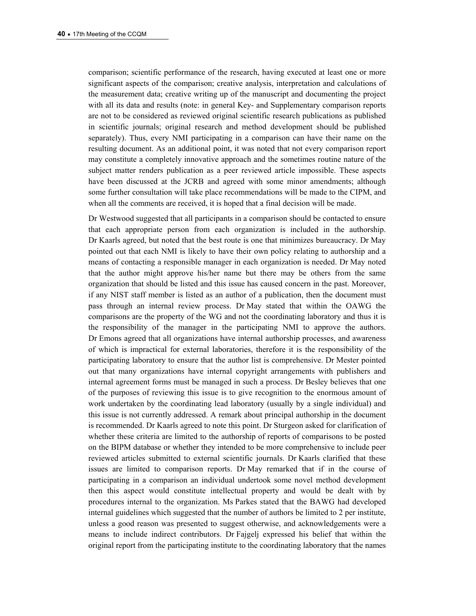comparison; scientific performance of the research, having executed at least one or more significant aspects of the comparison; creative analysis, interpretation and calculations of the measurement data; creative writing up of the manuscript and documenting the project with all its data and results (note: in general Key- and Supplementary comparison reports are not to be considered as reviewed original scientific research publications as published in scientific journals; original research and method development should be published separately). Thus, every NMI participating in a comparison can have their name on the resulting document. As an additional point, it was noted that not every comparison report may constitute a completely innovative approach and the sometimes routine nature of the subject matter renders publication as a peer reviewed article impossible. These aspects have been discussed at the JCRB and agreed with some minor amendments; although some further consultation will take place recommendations will be made to the CIPM, and when all the comments are received, it is hoped that a final decision will be made.

Dr Westwood suggested that all participants in a comparison should be contacted to ensure that each appropriate person from each organization is included in the authorship. Dr Kaarls agreed, but noted that the best route is one that minimizes bureaucracy. Dr May pointed out that each NMI is likely to have their own policy relating to authorship and a means of contacting a responsible manager in each organization is needed. Dr May noted that the author might approve his/her name but there may be others from the same organization that should be listed and this issue has caused concern in the past. Moreover, if any NIST staff member is listed as an author of a publication, then the document must pass through an internal review process. Dr May stated that within the OAWG the comparisons are the property of the WG and not the coordinating laboratory and thus it is the responsibility of the manager in the participating NMI to approve the authors. Dr Emons agreed that all organizations have internal authorship processes, and awareness of which is impractical for external laboratories, therefore it is the responsibility of the participating laboratory to ensure that the author list is comprehensive. Dr Mester pointed out that many organizations have internal copyright arrangements with publishers and internal agreement forms must be managed in such a process. Dr Besley believes that one of the purposes of reviewing this issue is to give recognition to the enormous amount of work undertaken by the coordinating lead laboratory (usually by a single individual) and this issue is not currently addressed. A remark about principal authorship in the document is recommended. Dr Kaarls agreed to note this point. Dr Sturgeon asked for clarification of whether these criteria are limited to the authorship of reports of comparisons to be posted on the BIPM database or whether they intended to be more comprehensive to include peer reviewed articles submitted to external scientific journals. Dr Kaarls clarified that these issues are limited to comparison reports. Dr May remarked that if in the course of participating in a comparison an individual undertook some novel method development then this aspect would constitute intellectual property and would be dealt with by procedures internal to the organization. Ms Parkes stated that the BAWG had developed internal guidelines which suggested that the number of authors be limited to 2 per institute, unless a good reason was presented to suggest otherwise, and acknowledgements were a means to include indirect contributors. Dr Fajgelj expressed his belief that within the original report from the participating institute to the coordinating laboratory that the names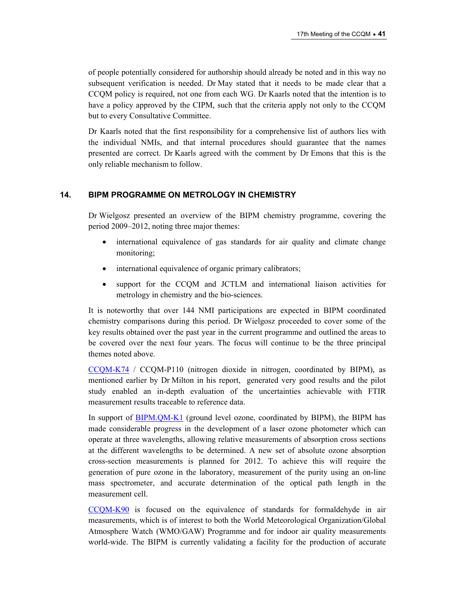of people potentially considered for authorship should already be noted and in this way no subsequent verification is needed. Dr May stated that it needs to be made clear that a CCQM policy is required, not one from each WG. Dr Kaarls noted that the intention is to have a policy approved by the CIPM, such that the criteria apply not only to the CCQM but to every Consultative Committee.

Dr Kaarls noted that the first responsibility for a comprehensive list of authors lies with the individual NMIs, and that internal procedures should guarantee that the names presented are correct. Dr Kaarls agreed with the comment by Dr Emons that this is the only reliable mechanism to follow.

#### **14. BIPM PROGRAMME ON METROLOGY IN CHEMISTRY**

Dr Wielgosz presented an overview of the BIPM chemistry programme, covering the period 2009–2012, noting three major themes:

- international equivalence of gas standards for air quality and climate change monitoring;
- international equivalence of organic primary calibrators;
- support for the CCQM and JCTLM and international liaison activities for metrology in chemistry and the bio-sciences.

It is noteworthy that over 144 NMI participations are expected in BIPM coordinated chemistry comparisons during this period. Dr Wielgosz proceeded to cover some of the key results obtained over the past year in the current programme and outlined the areas to be covered over the next four years. The focus will continue to be the three principal themes noted above.

[CCQM-K74](http://kcdb.bipm.org/appendixB/KCDB_ApB_info.asp?cmp_idy=968&cmp_cod=CCQM-K74&prov=exalead) / CCQM-P110 (nitrogen dioxide in nitrogen, coordinated by BIPM), as mentioned earlier by Dr Milton in his report, generated very good results and the pilot study enabled an in-depth evaluation of the uncertainties achievable with FTIR measurement results traceable to reference data.

In support of **BIPM.QM-K1** (ground level ozone, coordinated by BIPM), the BIPM has made considerable progress in the development of a laser ozone photometer which can operate at three wavelengths, allowing relative measurements of absorption cross sections at the different wavelengths to be determined. A new set of absolute ozone absorption cross-section measurements is planned for 2012. To achieve this will require the generation of pure ozone in the laboratory, measurement of the purity using an on-line mass spectrometer, and accurate determination of the optical path length in the measurement cell.

[CCQM-K90](http://kcdb.bipm.org/appendixB/KCDB_ApB_info.asp?cmp_idy=1095&cmp_cod=CCQM-K90&prov=exalead) is focused on the equivalence of standards for formaldehyde in air measurements, which is of interest to both the World Meteorological Organization/Global Atmosphere Watch (WMO/GAW) Programme and for indoor air quality measurements world-wide. The BIPM is currently validating a facility for the production of accurate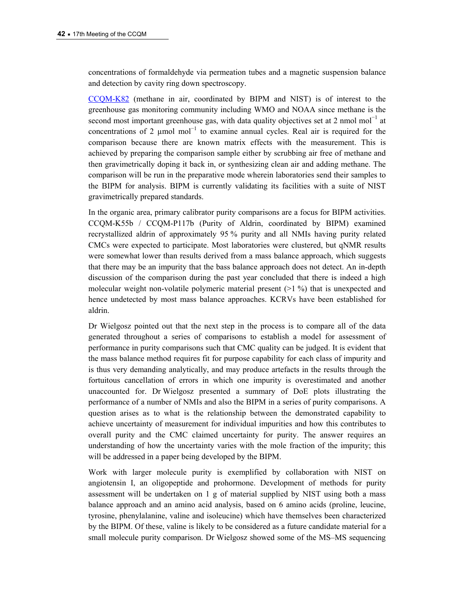concentrations of formaldehyde via permeation tubes and a magnetic suspension balance and detection by cavity ring down spectroscopy.

[CCQM-K82](http://kcdb.bipm.org/appendixB/KCDB_ApB_info.asp?cmp_idy=1062&cmp_cod=CCQM-K82&prov=exalead) (methane in air, coordinated by BIPM and NIST) is of interest to the greenhouse gas monitoring community including WMO and NOAA since methane is the second most important greenhouse gas, with data quality objectives set at 2 nmol mol<sup>-1</sup> at concentrations of 2  $\mu$ mol mol<sup>-1</sup> to examine annual cycles. Real air is required for the comparison because there are known matrix effects with the measurement. This is achieved by preparing the comparison sample either by scrubbing air free of methane and then gravimetrically doping it back in, or synthesizing clean air and adding methane. The comparison will be run in the preparative mode wherein laboratories send their samples to the BIPM for analysis. BIPM is currently validating its facilities with a suite of NIST gravimetrically prepared standards.

In the organic area, primary calibrator purity comparisons are a focus for BIPM activities. CCQM-K55b / CCQM-P117b (Purity of Aldrin, coordinated by BIPM) examined recrystallized aldrin of approximately 95 % purity and all NMIs having purity related CMCs were expected to participate. Most laboratories were clustered, but qNMR results were somewhat lower than results derived from a mass balance approach, which suggests that there may be an impurity that the bass balance approach does not detect. An in-depth discussion of the comparison during the past year concluded that there is indeed a high molecular weight non-volatile polymeric material present  $(>1\%)$  that is unexpected and hence undetected by most mass balance approaches. KCRVs have been established for aldrin.

Dr Wielgosz pointed out that the next step in the process is to compare all of the data generated throughout a series of comparisons to establish a model for assessment of performance in purity comparisons such that CMC quality can be judged. It is evident that the mass balance method requires fit for purpose capability for each class of impurity and is thus very demanding analytically, and may produce artefacts in the results through the fortuitous cancellation of errors in which one impurity is overestimated and another unaccounted for. Dr Wielgosz presented a summary of DoE plots illustrating the performance of a number of NMIs and also the BIPM in a series of purity comparisons. A question arises as to what is the relationship between the demonstrated capability to achieve uncertainty of measurement for individual impurities and how this contributes to overall purity and the CMC claimed uncertainty for purity. The answer requires an understanding of how the uncertainty varies with the mole fraction of the impurity; this will be addressed in a paper being developed by the BIPM.

Work with larger molecule purity is exemplified by collaboration with NIST on angiotensin I, an oligopeptide and prohormone. Development of methods for purity assessment will be undertaken on 1 g of material supplied by NIST using both a mass balance approach and an amino acid analysis, based on 6 amino acids (proline, leucine, tyrosine, phenylalanine, valine and isoleucine) which have themselves been characterized by the BIPM. Of these, valine is likely to be considered as a future candidate material for a small molecule purity comparison. Dr Wielgosz showed some of the MS–MS sequencing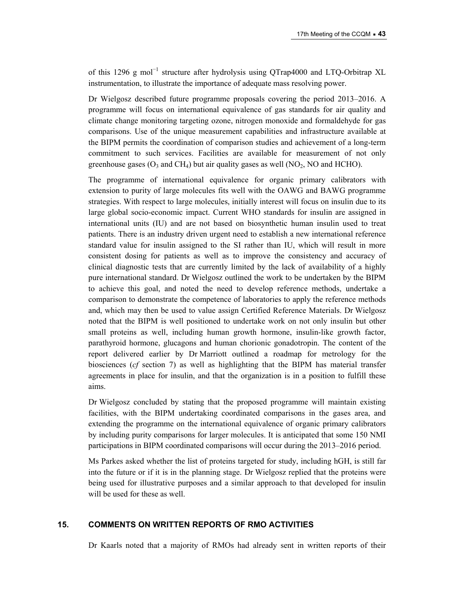of this 1296 g mol<sup>-1</sup> structure after hydrolysis using QTrap4000 and LTQ-Orbitrap XL instrumentation, to illustrate the importance of adequate mass resolving power.

Dr Wielgosz described future programme proposals covering the period 2013–2016. A programme will focus on international equivalence of gas standards for air quality and climate change monitoring targeting ozone, nitrogen monoxide and formaldehyde for gas comparisons. Use of the unique measurement capabilities and infrastructure available at the BIPM permits the coordination of comparison studies and achievement of a long-term commitment to such services. Facilities are available for measurement of not only greenhouse gases ( $O_3$  and CH<sub>4</sub>) but air quality gases as well ( $NO_2$ , NO and HCHO).

The programme of international equivalence for organic primary calibrators with extension to purity of large molecules fits well with the OAWG and BAWG programme strategies. With respect to large molecules, initially interest will focus on insulin due to its large global socio-economic impact. Current WHO standards for insulin are assigned in international units (IU) and are not based on biosynthetic human insulin used to treat patients. There is an industry driven urgent need to establish a new international reference standard value for insulin assigned to the SI rather than IU, which will result in more consistent dosing for patients as well as to improve the consistency and accuracy of clinical diagnostic tests that are currently limited by the lack of availability of a highly pure international standard. Dr Wielgosz outlined the work to be undertaken by the BIPM to achieve this goal, and noted the need to develop reference methods, undertake a comparison to demonstrate the competence of laboratories to apply the reference methods and, which may then be used to value assign Certified Reference Materials. Dr Wielgosz noted that the BIPM is well positioned to undertake work on not only insulin but other small proteins as well, including human growth hormone, insulin-like growth factor, parathyroid hormone, glucagons and human chorionic gonadotropin. The content of the report delivered earlier by Dr Marriott outlined a roadmap for metrology for the biosciences (*cf* section 7) as well as highlighting that the BIPM has material transfer agreements in place for insulin, and that the organization is in a position to fulfill these aims.

Dr Wielgosz concluded by stating that the proposed programme will maintain existing facilities, with the BIPM undertaking coordinated comparisons in the gases area, and extending the programme on the international equivalence of organic primary calibrators by including purity comparisons for larger molecules. It is anticipated that some 150 NMI participations in BIPM coordinated comparisons will occur during the 2013–2016 period.

Ms Parkes asked whether the list of proteins targeted for study, including hGH, is still far into the future or if it is in the planning stage. Dr Wielgosz replied that the proteins were being used for illustrative purposes and a similar approach to that developed for insulin will be used for these as well.

#### **15. COMMENTS ON WRITTEN REPORTS OF RMO ACTIVITIES**

Dr Kaarls noted that a majority of RMOs had already sent in written reports of their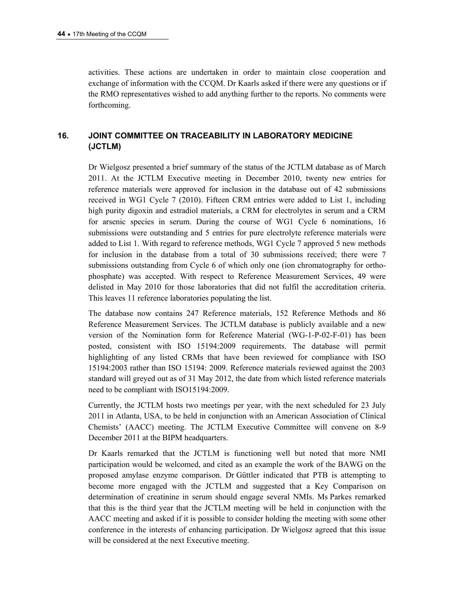activities. These actions are undertaken in order to maintain close cooperation and exchange of information with the CCQM. Dr Kaarls asked if there were any questions or if the RMO representatives wished to add anything further to the reports. No comments were forthcoming.

### **16. JOINT COMMITTEE ON TRACEABILITY IN LABORATORY MEDICINE (JCTLM)**

Dr Wielgosz presented a brief summary of the status of the JCTLM database as of March 2011. At the JCTLM Executive meeting in December 2010, twenty new entries for reference materials were approved for inclusion in the database out of 42 submissions received in WG1 Cycle 7 (2010). Fifteen CRM entries were added to List 1, including high purity digoxin and estradiol materials, a CRM for electrolytes in serum and a CRM for arsenic species in serum. During the course of WG1 Cycle 6 nominations, 16 submissions were outstanding and 5 entries for pure electrolyte reference materials were added to List 1. With regard to reference methods, WG1 Cycle 7 approved 5 new methods for inclusion in the database from a total of 30 submissions received; there were 7 submissions outstanding from Cycle 6 of which only one (ion chromatography for orthophosphate) was accepted. With respect to Reference Measurement Services, 49 were delisted in May 2010 for those laboratories that did not fulfil the accreditation criteria. This leaves 11 reference laboratories populating the list.

The database now contains 247 Reference materials, 152 Reference Methods and 86 Reference Measurement Services. The JCTLM database is publicly available and a new version of the Nomination form for Reference Material (WG-1-P-02-F-01) has been posted, consistent with ISO 15194:2009 requirements. The database will permit highlighting of any listed CRMs that have been reviewed for compliance with ISO 15194:2003 rather than ISO 15194: 2009. Reference materials reviewed against the 2003 standard will greyed out as of 31 May 2012, the date from which listed reference materials need to be compliant with ISO15194:2009.

Currently, the JCTLM hosts two meetings per year, with the next scheduled for 23 July 2011 in Atlanta, USA, to be held in conjunction with an American Association of Clinical Chemists' (AACC) meeting. The JCTLM Executive Committee will convene on 8-9 December 2011 at the BIPM headquarters.

Dr Kaarls remarked that the JCTLM is functioning well but noted that more NMI participation would be welcomed, and cited as an example the work of the BAWG on the proposed amylase enzyme comparison. Dr Güttler indicated that PTB is attempting to become more engaged with the JCTLM and suggested that a Key Comparison on determination of creatinine in serum should engage several NMIs. Ms Parkes remarked that this is the third year that the JCTLM meeting will be held in conjunction with the AACC meeting and asked if it is possible to consider holding the meeting with some other conference in the interests of enhancing participation. Dr Wielgosz agreed that this issue will be considered at the next Executive meeting.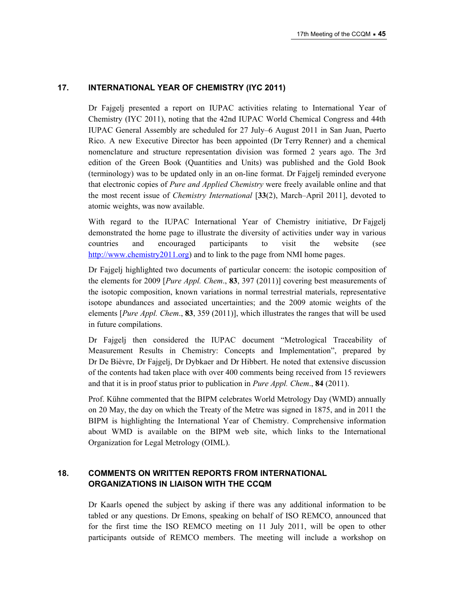### **17. INTERNATIONAL YEAR OF CHEMISTRY (IYC 2011)**

Dr Fajgelj presented a report on IUPAC activities relating to International Year of Chemistry (IYC 2011), noting that the 42nd IUPAC World Chemical Congress and 44th IUPAC General Assembly are scheduled for 27 July–6 August 2011 in San Juan, Puerto Rico. A new Executive Director has been appointed (Dr Terry Renner) and a chemical nomenclature and structure representation division was formed 2 years ago. The 3rd edition of the Green Book (Quantities and Units) was published and the Gold Book (terminology) was to be updated only in an on-line format. Dr Fajgelj reminded everyone that electronic copies of *Pure and Applied Chemistry* were freely available online and that the most recent issue of *Chemistry International* [**33**(2), March–April 2011], devoted to atomic weights, was now available.

With regard to the IUPAC International Year of Chemistry initiative, Dr Fajgelj demonstrated the home page to illustrate the diversity of activities under way in various countries and encouraged participants to visit the website (see [http://www.chemistry2011.org](http://www.chemistry2011.org/)) and to link to the page from NMI home pages.

Dr Fajgelj highlighted two documents of particular concern: the isotopic composition of the elements for 2009 [*Pure Appl. Chem*., **83**, 397 (2011)] covering best measurements of the isotopic composition, known variations in normal terrestrial materials, representative isotope abundances and associated uncertainties; and the 2009 atomic weights of the elements [*Pure Appl. Chem*., **83**, 359 (2011)], which illustrates the ranges that will be used in future compilations.

Dr Fajgelj then considered the IUPAC document "Metrological Traceability of Measurement Results in Chemistry: Concepts and Implementation", prepared by Dr De Bièvre, Dr Fajgelj, Dr Dybkaer and Dr Hibbert. He noted that extensive discussion of the contents had taken place with over 400 comments being received from 15 reviewers and that it is in proof status prior to publication in *Pure Appl. Chem*., **84** (2011).

Prof. Kühne commented that the BIPM celebrates World Metrology Day (WMD) annually on 20 May, the day on which the Treaty of the Metre was signed in 1875, and in 2011 the BIPM is highlighting the International Year of Chemistry. Comprehensive information about WMD is available on the BIPM web site, which links to the International Organization for Legal Metrology (OIML).

### **18. COMMENTS ON WRITTEN REPORTS FROM INTERNATIONAL ORGANIZATIONS IN LIAISON WITH THE CCQM**

Dr Kaarls opened the subject by asking if there was any additional information to be tabled or any questions. Dr Emons, speaking on behalf of ISO REMCO, announced that for the first time the ISO REMCO meeting on 11 July 2011, will be open to other participants outside of REMCO members. The meeting will include a workshop on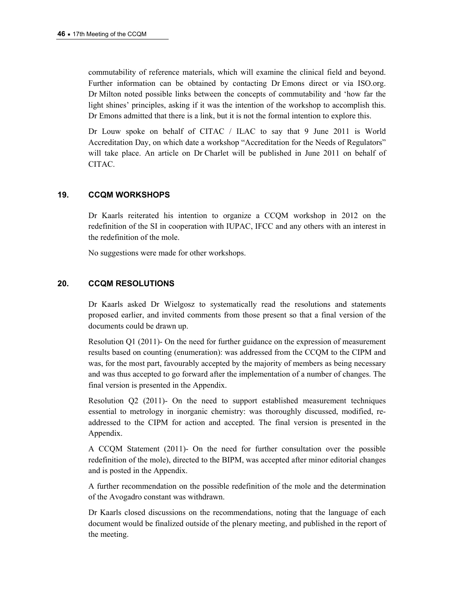commutability of reference materials, which will examine the clinical field and beyond. Further information can be obtained by contacting Dr Emons direct or via ISO.org. Dr Milton noted possible links between the concepts of commutability and 'how far the light shines' principles, asking if it was the intention of the workshop to accomplish this. Dr Emons admitted that there is a link, but it is not the formal intention to explore this.

Dr Louw spoke on behalf of CITAC / ILAC to say that 9 June 2011 is World Accreditation Day, on which date a workshop "Accreditation for the Needs of Regulators" will take place. An article on Dr Charlet will be published in June 2011 on behalf of CITAC.

### **19. CCQM WORKSHOPS**

Dr Kaarls reiterated his intention to organize a CCQM workshop in 2012 on the redefinition of the SI in cooperation with IUPAC, IFCC and any others with an interest in the redefinition of the mole.

No suggestions were made for other workshops.

### **20. CCQM RESOLUTIONS**

Dr Kaarls asked Dr Wielgosz to systematically read the resolutions and statements proposed earlier, and invited comments from those present so that a final version of the documents could be drawn up.

Resolution Q1 (2011)- On the need for further guidance on the expression of measurement results based on counting (enumeration): was addressed from the CCQM to the CIPM and was, for the most part, favourably accepted by the majority of members as being necessary and was thus accepted to go forward after the implementation of a number of changes. The final version is presented in the Appendix.

Resolution Q2 (2011)- On the need to support established measurement techniques essential to metrology in inorganic chemistry: was thoroughly discussed, modified, readdressed to the CIPM for action and accepted. The final version is presented in the Appendix.

A CCQM Statement (2011)- On the need for further consultation over the possible redefinition of the mole), directed to the BIPM, was accepted after minor editorial changes and is posted in the Appendix.

A further recommendation on the possible redefinition of the mole and the determination of the Avogadro constant was withdrawn.

Dr Kaarls closed discussions on the recommendations, noting that the language of each document would be finalized outside of the plenary meeting, and published in the report of the meeting.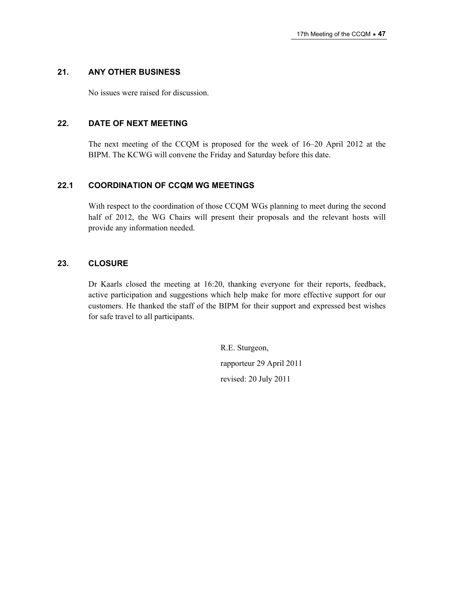### **21. ANY OTHER BUSINESS**

No issues were raised for discussion.

### **22. DATE OF NEXT MEETING**

The next meeting of the CCQM is proposed for the week of 16–20 April 2012 at the BIPM. The KCWG will convene the Friday and Saturday before this date.

### **22.1 COORDINATION OF CCQM WG MEETINGS**

With respect to the coordination of those CCQM WGs planning to meet during the second half of 2012, the WG Chairs will present their proposals and the relevant hosts will provide any information needed.

### **23. CLOSURE**

Dr Kaarls closed the meeting at 16:20, thanking everyone for their reports, feedback, active participation and suggestions which help make for more effective support for our customers. He thanked the staff of the BIPM for their support and expressed best wishes for safe travel to all participants.

> R.E. Sturgeon, rapporteur 29 April 2011 revised: 20 July 2011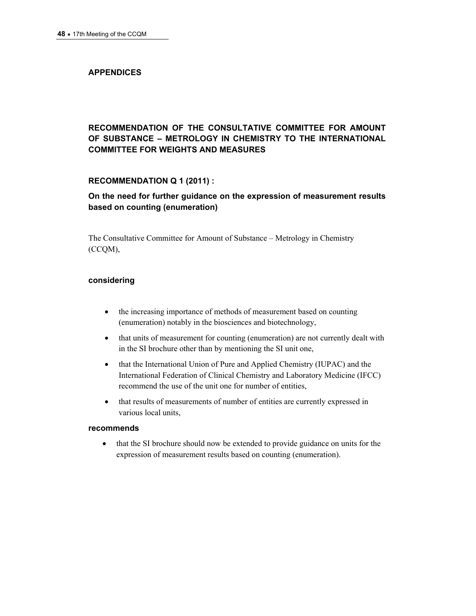### **APPENDICES**

### **RECOMMENDATION OF THE CONSULTATIVE COMMITTEE FOR AMOUNT OF SUBSTANCE – METROLOGY IN CHEMISTRY TO THE INTERNATIONAL COMMITTEE FOR WEIGHTS AND MEASURES**

### **RECOMMENDATION Q 1 (2011) :**

### **On the need for further guidance on the expression of measurement results based on counting (enumeration)**

The Consultative Committee for Amount of Substance – Metrology in Chemistry (CCQM),

### **considering**

- the increasing importance of methods of measurement based on counting (enumeration) notably in the biosciences and biotechnology,
- that units of measurement for counting (enumeration) are not currently dealt with in the SI brochure other than by mentioning the SI unit one,
- that the International Union of Pure and Applied Chemistry (IUPAC) and the International Federation of Clinical Chemistry and Laboratory Medicine (IFCC) recommend the use of the unit one for number of entities,
- that results of measurements of number of entities are currently expressed in various local units,

### **recommends**

 that the SI brochure should now be extended to provide guidance on units for the expression of measurement results based on counting (enumeration).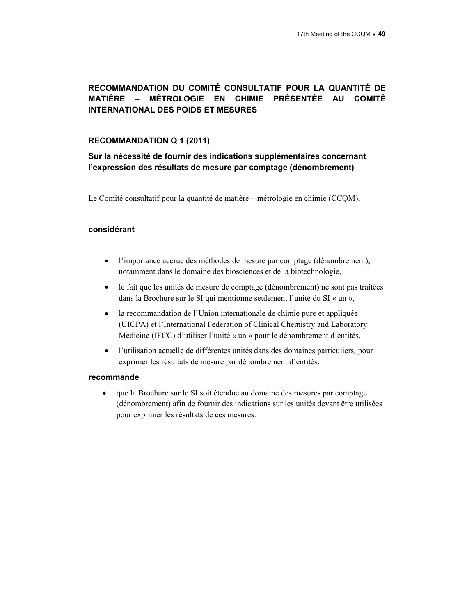### **RECOMMANDATION DU COMITÉ CONSULTATIF POUR LA QUANTITÉ DE MATIÈRE – MÉTROLOGIE EN CHIMIE PRÉSENTÉE AU COMITÉ INTERNATIONAL DES POIDS ET MESURES**

### **RECOMMANDATION Q 1 (2011)** :

**Sur la nécessité de fournir des indications supplémentaires concernant l'expression des résultats de mesure par comptage (dénombrement)** 

Le Comité consultatif pour la quantité de matière – métrologie en chimie (CCQM),

### **considérant**

- l'importance accrue des méthodes de mesure par comptage (dénombrement), notamment dans le domaine des biosciences et de la biotechnologie,
- le fait que les unités de mesure de comptage (dénombrement) ne sont pas traitées dans la Brochure sur le SI qui mentionne seulement l'unité du SI « un »,
- la recommandation de l'Union internationale de chimie pure et appliquée (UICPA) et l'International Federation of Clinical Chemistry and Laboratory Medicine (IFCC) d'utiliser l'unité « un » pour le dénombrement d'entités,
- l'utilisation actuelle de différentes unités dans des domaines particuliers, pour exprimer les résultats de mesure par dénombrement d'entités,

#### **recommande**

 que la Brochure sur le SI soit étendue au domaine des mesures par comptage (dénombrement) afin de fournir des indications sur les unités devant être utilisées pour exprimer les résultats de ces mesures.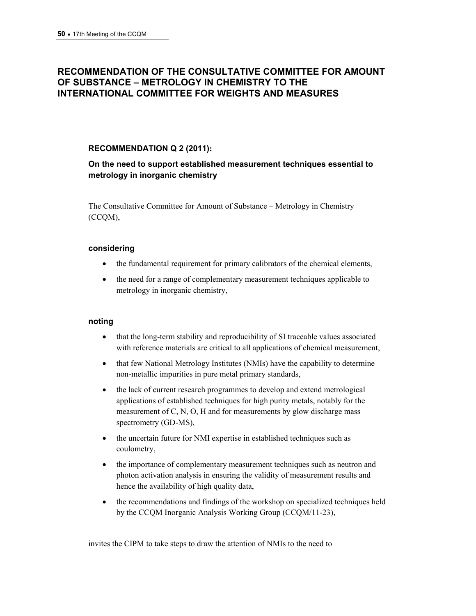# **RECOMMENDATION OF THE CONSULTATIVE COMMITTEE FOR AMOUNT OF SUBSTANCE – METROLOGY IN CHEMISTRY TO THE INTERNATIONAL COMMITTEE FOR WEIGHTS AND MEASURES**

### **RECOMMENDATION Q 2 (2011):**

### **On the need to support established measurement techniques essential to metrology in inorganic chemistry**

The Consultative Committee for Amount of Substance – Metrology in Chemistry (CCQM),

### **considering**

- the fundamental requirement for primary calibrators of the chemical elements,
- the need for a range of complementary measurement techniques applicable to metrology in inorganic chemistry,

### **noting**

- that the long-term stability and reproducibility of SI traceable values associated with reference materials are critical to all applications of chemical measurement,
- that few National Metrology Institutes (NMIs) have the capability to determine non-metallic impurities in pure metal primary standards,
- the lack of current research programmes to develop and extend metrological applications of established techniques for high purity metals, notably for the measurement of C, N, O, H and for measurements by glow discharge mass spectrometry (GD-MS),
- the uncertain future for NMI expertise in established techniques such as coulometry,
- the importance of complementary measurement techniques such as neutron and photon activation analysis in ensuring the validity of measurement results and hence the availability of high quality data,
- the recommendations and findings of the workshop on specialized techniques held by the CCQM Inorganic Analysis Working Group (CCQM/11-23),

invites the CIPM to take steps to draw the attention of NMIs to the need to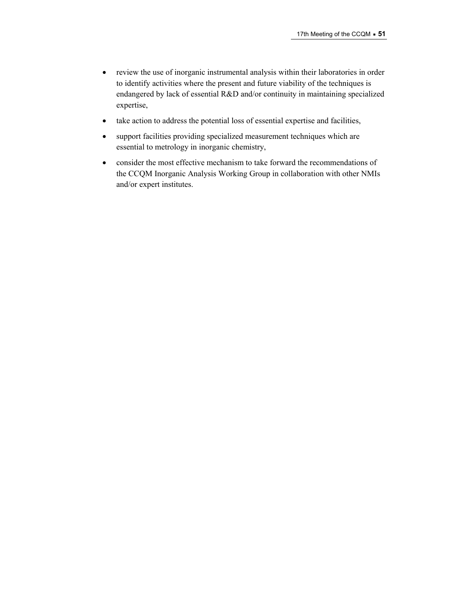- review the use of inorganic instrumental analysis within their laboratories in order to identify activities where the present and future viability of the techniques is endangered by lack of essential R&D and/or continuity in maintaining specialized expertise,
- take action to address the potential loss of essential expertise and facilities,
- support facilities providing specialized measurement techniques which are essential to metrology in inorganic chemistry,
- consider the most effective mechanism to take forward the recommendations of the CCQM Inorganic Analysis Working Group in collaboration with other NMIs and/or expert institutes.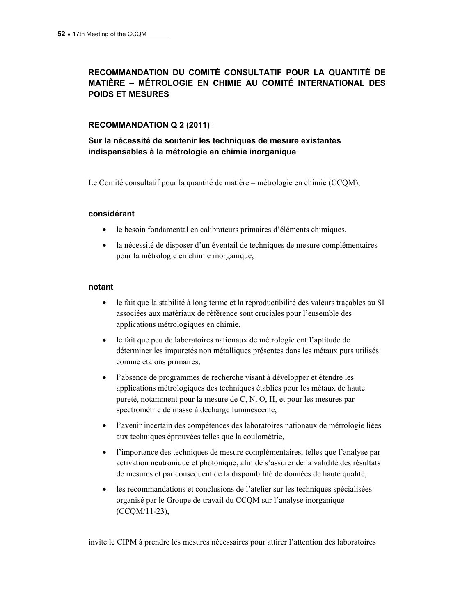### **RECOMMANDATION DU COMITÉ CONSULTATIF POUR LA QUANTITÉ DE MATIÈRE – MÉTROLOGIE EN CHIMIE AU COMITÉ INTERNATIONAL DES POIDS ET MESURES**

### **RECOMMANDATION Q 2 (2011)** :

**Sur la nécessité de soutenir les techniques de mesure existantes indispensables à la métrologie en chimie inorganique** 

Le Comité consultatif pour la quantité de matière – métrologie en chimie (CCQM),

### **considérant**

- le besoin fondamental en calibrateurs primaires d'éléments chimiques,
- la nécessité de disposer d'un éventail de techniques de mesure complémentaires pour la métrologie en chimie inorganique,

#### **notant**

- le fait que la stabilité à long terme et la reproductibilité des valeurs traçables au SI associées aux matériaux de référence sont cruciales pour l'ensemble des applications métrologiques en chimie,
- le fait que peu de laboratoires nationaux de métrologie ont l'aptitude de déterminer les impuretés non métalliques présentes dans les métaux purs utilisés comme étalons primaires,
- l'absence de programmes de recherche visant à développer et étendre les applications métrologiques des techniques établies pour les métaux de haute pureté, notamment pour la mesure de C, N, O, H, et pour les mesures par spectrométrie de masse à décharge luminescente,
- l'avenir incertain des compétences des laboratoires nationaux de métrologie liées aux techniques éprouvées telles que la coulométrie,
- l'importance des techniques de mesure complémentaires, telles que l'analyse par activation neutronique et photonique, afin de s'assurer de la validité des résultats de mesures et par conséquent de la disponibilité de données de haute qualité,
- les recommandations et conclusions de l'atelier sur les techniques spécialisées organisé par le Groupe de travail du CCQM sur l'analyse inorganique (CCQM/11-23),

invite le CIPM à prendre les mesures nécessaires pour attirer l'attention des laboratoires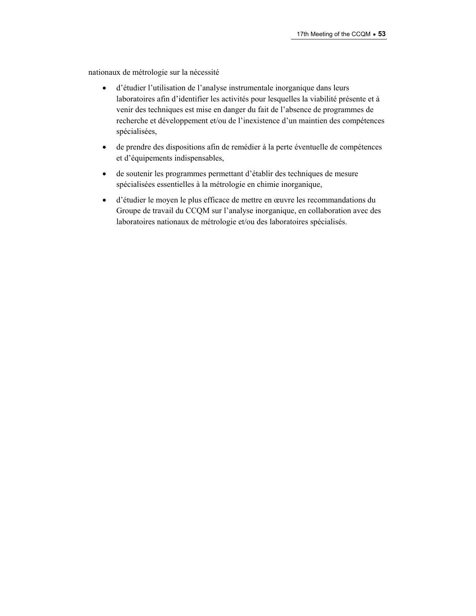nationaux de métrologie sur la nécessité

- d'étudier l'utilisation de l'analyse instrumentale inorganique dans leurs laboratoires afin d'identifier les activités pour lesquelles la viabilité présente et à venir des techniques est mise en danger du fait de l'absence de programmes de recherche et développement et/ou de l'inexistence d'un maintien des compétences spécialisées,
- de prendre des dispositions afin de remédier à la perte éventuelle de compétences et d'équipements indispensables,
- de soutenir les programmes permettant d'établir des techniques de mesure spécialisées essentielles à la métrologie en chimie inorganique,
- d'étudier le moyen le plus efficace de mettre en œuvre les recommandations du Groupe de travail du CCQM sur l'analyse inorganique, en collaboration avec des laboratoires nationaux de métrologie et/ou des laboratoires spécialisés.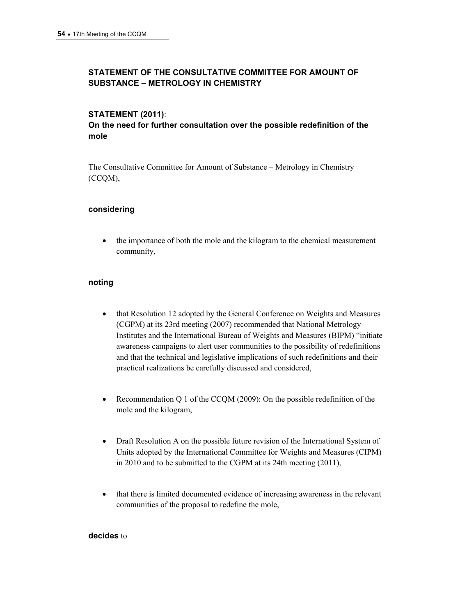### **STATEMENT OF THE CONSULTATIVE COMMITTEE FOR AMOUNT OF SUBSTANCE – METROLOGY IN CHEMISTRY**

### **STATEMENT (2011)**:

### **On the need for further consultation over the possible redefinition of the mole**

The Consultative Committee for Amount of Substance – Metrology in Chemistry (CCQM),

### **considering**

 the importance of both the mole and the kilogram to the chemical measurement community,

### **noting**

- that Resolution 12 adopted by the General Conference on Weights and Measures (CGPM) at its 23rd meeting (2007) recommended that National Metrology Institutes and the International Bureau of Weights and Measures (BIPM) "initiate awareness campaigns to alert user communities to the possibility of redefinitions and that the technical and legislative implications of such redefinitions and their practical realizations be carefully discussed and considered,
- Recommendation Q 1 of the CCQM (2009): On the possible redefinition of the mole and the kilogram,
- Draft Resolution A on the possible future revision of the International System of Units adopted by the International Committee for Weights and Measures (CIPM) in 2010 and to be submitted to the CGPM at its 24th meeting (2011),
- that there is limited documented evidence of increasing awareness in the relevant communities of the proposal to redefine the mole,

### **decides** to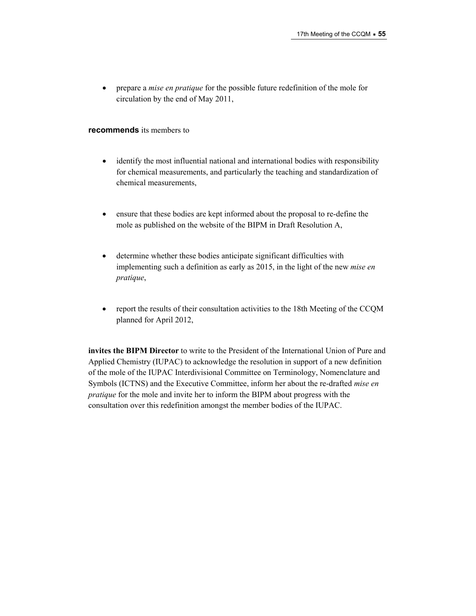prepare a *mise en pratique* for the possible future redefinition of the mole for circulation by the end of May 2011,

#### **recommends** its members to

- identify the most influential national and international bodies with responsibility for chemical measurements, and particularly the teaching and standardization of chemical measurements,
- ensure that these bodies are kept informed about the proposal to re-define the mole as published on the website of the BIPM in Draft Resolution A,
- determine whether these bodies anticipate significant difficulties with implementing such a definition as early as 2015, in the light of the new *mise en pratique*,
- report the results of their consultation activities to the 18th Meeting of the CCQM planned for April 2012,

**invites the BIPM Director** to write to the President of the International Union of Pure and Applied Chemistry (IUPAC) to acknowledge the resolution in support of a new definition of the mole of the IUPAC Interdivisional Committee on Terminology, Nomenclature and Symbols (ICTNS) and the Executive Committee, inform her about the re-drafted *mise en pratique* for the mole and invite her to inform the BIPM about progress with the consultation over this redefinition amongst the member bodies of the IUPAC.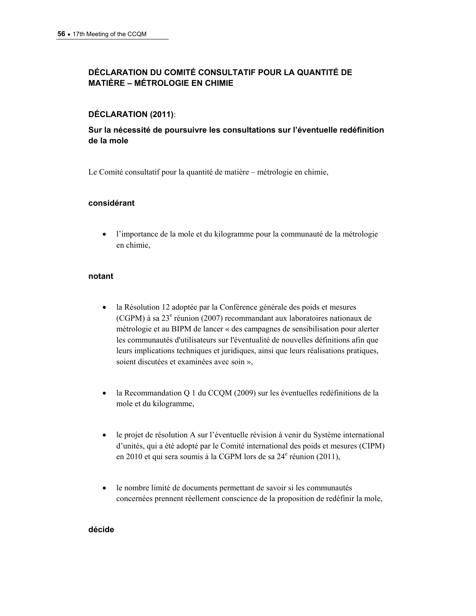### **DÉCLARATION DU COMITÉ CONSULTATIF POUR LA QUANTITÉ DE MATIÈRE – MÉTROLOGIE EN CHIMIE**

### **DÉCLARATION (2011)**:

### **Sur la nécessité de poursuivre les consultations sur l'éventuelle redéfinition de la mole**

Le Comité consultatif pour la quantité de matière – métrologie en chimie,

### **considérant**

 l'importance de la mole et du kilogramme pour la communauté de la métrologie en chimie,

### **notant**

- la Résolution 12 adoptée par la Conférence générale des poids et mesures (CGPM) à sa 23<sup>e</sup> réunion (2007) recommandant aux laboratoires nationaux de métrologie et au BIPM de lancer « des campagnes de sensibilisation pour alerter les communautés d'utilisateurs sur l'éventualité de nouvelles définitions afin que leurs implications techniques et juridiques, ainsi que leurs réalisations pratiques, soient discutées et examinées avec soin »,
- la Recommandation Q 1 du CCQM (2009) sur les éventuelles redéfinitions de la mole et du kilogramme,
- le projet de résolution A sur l'éventuelle révision à venir du Système international d'unités, qui a été adopté par le Comité international des poids et mesures (CIPM) en 2010 et qui sera soumis à la CGPM lors de sa  $24^e$  réunion (2011),
- le nombre limité de documents permettant de savoir si les communautés concernées prennent réellement conscience de la proposition de redéfinir la mole,

### **décide**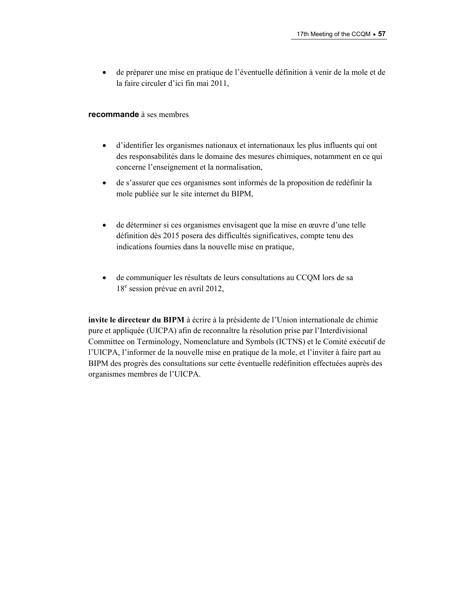de préparer une mise en pratique de l'éventuelle définition à venir de la mole et de la faire circuler d'ici fin mai 2011,

#### **recommande** à ses membres

- d'identifier les organismes nationaux et internationaux les plus influents qui ont des responsabilités dans le domaine des mesures chimiques, notamment en ce qui concerne l'enseignement et la normalisation,
- de s'assurer que ces organismes sont informés de la proposition de redéfinir la mole publiée sur le site internet du BIPM,
- de déterminer si ces organismes envisagent que la mise en œuvre d'une telle définition dès 2015 posera des difficultés significatives, compte tenu des indications fournies dans la nouvelle mise en pratique,
- de communiquer les résultats de leurs consultations au CCQM lors de sa 18<sup>e</sup> session prévue en avril 2012,

**invite le directeur du BIPM** à écrire à la présidente de l'Union internationale de chimie pure et appliquée (UICPA) afin de reconnaître la résolution prise par l'Interdivisional Committee on Terminology, Nomenclature and Symbols (ICTNS) et le Comité exécutif de l'UICPA, l'informer de la nouvelle mise en pratique de la mole, et l'inviter à faire part au BIPM des progrès des consultations sur cette éventuelle redéfinition effectuées auprès des organismes membres de l'UICPA.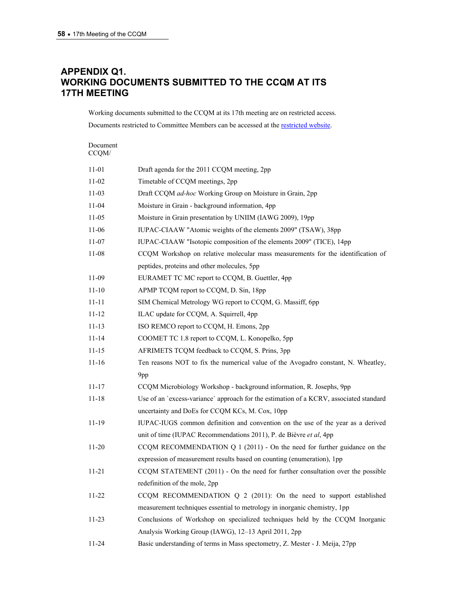## **APPENDIX Q1. WORKING DOCUMENTS SUBMITTED TO THE CCQM AT ITS 17TH MEETING**

Working documents submitted to the CCQM at its 17th meeting are on restricted access. Documents restricted to Committee Members can be accessed at the [restricted website.](https://www.bipm.org/en/committees/cc/ccqm/)

| Document<br>CCQM/ |                                                                                        |
|-------------------|----------------------------------------------------------------------------------------|
| 11-01             | Draft agenda for the 2011 CCQM meeting, 2pp                                            |
| 11-02             | Timetable of CCQM meetings, 2pp                                                        |
| 11-03             | Draft CCQM ad-hoc Working Group on Moisture in Grain, 2pp                              |
| 11-04             | Moisture in Grain - background information, 4pp                                        |
| 11-05             | Moisture in Grain presentation by UNIIM (IAWG 2009), 19pp                              |
| 11-06             | IUPAC-CIAAW "Atomic weights of the elements 2009" (TSAW), 38pp                         |
| 11-07             | IUPAC-CIAAW "Isotopic composition of the elements 2009" (TICE), 14pp                   |
| 11-08             | CCQM Workshop on relative molecular mass measurements for the identification of        |
|                   | peptides, proteins and other molecules, 5pp.                                           |
| 11-09             | EURAMET TC MC report to CCQM, B. Guettler, 4pp                                         |
| $11 - 10$         | APMP TCQM report to CCQM, D. Sin, 18pp                                                 |
| 11-11             | SIM Chemical Metrology WG report to CCQM, G. Massiff, 6pp                              |
| 11-12             | ILAC update for CCQM, A. Squirrell, 4pp                                                |
| 11-13             | ISO REMCO report to CCQM, H. Emons, 2pp                                                |
| 11-14             | COOMET TC 1.8 report to CCQM, L. Konopelko, 5pp                                        |
| 11-15             | AFRIMETS TCQM feedback to CCQM, S. Prins, 3pp                                          |
| 11-16             | Ten reasons NOT to fix the numerical value of the Avogadro constant, N. Wheatley,      |
|                   | 9pp                                                                                    |
| 11-17             | CCQM Microbiology Workshop - background information, R. Josephs, 9pp                   |
| 11-18             | Use of an 'excess-variance' approach for the estimation of a KCRV, associated standard |
|                   | uncertainty and DoEs for CCQM KCs, M. Cox, 10pp                                        |
| 11-19             | IUPAC-IUGS common definition and convention on the use of the year as a derived        |
|                   | unit of time (IUPAC Recommendations 2011), P. de Bièvre et al, 4pp                     |
| $11 - 20$         | CCQM RECOMMENDATION Q $1(2011)$ - On the need for further guidance on the              |
|                   | expression of measurement results based on counting (enumeration), 1pp                 |
| 11-21             | CCQM STATEMENT (2011) - On the need for further consultation over the possible         |
|                   | redefinition of the mole, 2pp                                                          |
| 11-22             | CCQM RECOMMENDATION $Q$ 2 (2011): On the need to support established                   |
|                   | measurement techniques essential to metrology in inorganic chemistry, 1pp              |
| 11-23             | Conclusions of Workshop on specialized techniques held by the CCQM Inorganic           |
|                   | Analysis Working Group (IAWG), 12-13 April 2011, 2pp                                   |
| 11-24             | Basic understanding of terms in Mass spectometry, Z. Mester - J. Meija, 27pp           |